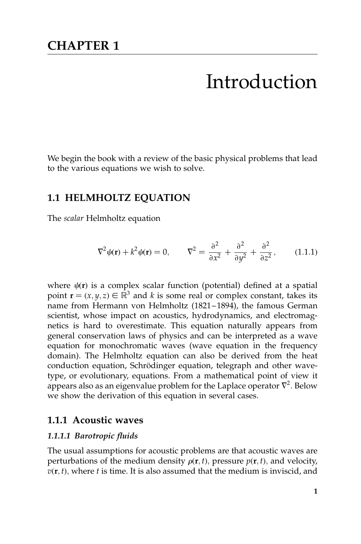# Introduction

We begin the book with a review of the basic physical problems that lead to the various equations we wish to solve.

# 1.1 HELMHOLTZ EQUATION

The scalar Helmholtz equation

$$
\nabla^2 \psi(\mathbf{r}) + k^2 \psi(\mathbf{r}) = 0, \qquad \nabla^2 = \frac{\partial^2}{\partial x^2} + \frac{\partial^2}{\partial y^2} + \frac{\partial^2}{\partial z^2}, \qquad (1.1.1)
$$

where  $\psi(\mathbf{r})$  is a complex scalar function (potential) defined at a spatial point  $\mathbf{r} = (x, y, z) \in \mathbb{R}^3$  and k is some real or complex constant, takes its name from Hermann von Helmholtz (1821–1894), the famous German scientist, whose impact on acoustics, hydrodynamics, and electromagnetics is hard to overestimate. This equation naturally appears from general conservation laws of physics and can be interpreted as a wave equation for monochromatic waves (wave equation in the frequency domain). The Helmholtz equation can also be derived from the heat conduction equation, Schrödinger equation, telegraph and other wavetype, or evolutionary, equations. From a mathematical point of view it appears also as an eigenvalue problem for the Laplace operator  $\nabla^2$ . Below we show the derivation of this equation in several cases.

## 1.1.1 Acoustic waves

## 1.1.1.1 Barotropic fluids

The usual assumptions for acoustic problems are that acoustic waves are perturbations of the medium density  $\rho(\mathbf{r}, t)$ , pressure  $p(\mathbf{r}, t)$ , and velocity,  $v(\mathbf{r}, t)$ , where t is time. It is also assumed that the medium is inviscid, and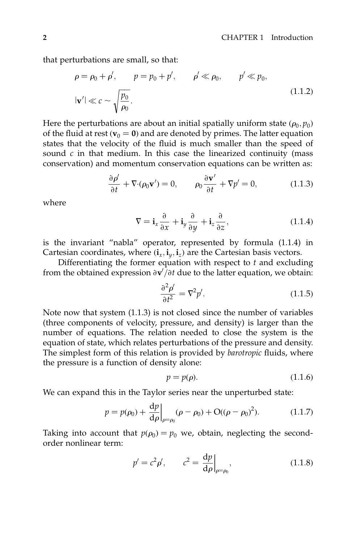that perturbations are small, so that:

$$
\rho = \rho_0 + \rho', \qquad p = p_0 + p', \qquad \rho' \ll \rho_0, \qquad p' \ll p_0,
$$
  

$$
|\mathbf{v}'| \ll c \sim \sqrt{\frac{p_0}{\rho_0}}.
$$
 (1.1.2)

Here the perturbations are about an initial spatially uniform state  $(\rho_0, p_0)$ of the fluid at rest ( $v_0 = 0$ ) and are denoted by primes. The latter equation states that the velocity of the fluid is much smaller than the speed of sound  $c$  in that medium. In this case the linearized continuity (mass conservation) and momentum conservation equations can be written as:

$$
\frac{\partial \rho'}{\partial t} + \nabla \cdot (\rho_0 \mathbf{v}') = 0, \qquad \rho_0 \frac{\partial \mathbf{v}'}{\partial t} + \nabla p' = 0,
$$
 (1.1.3)

where

$$
\nabla = \mathbf{i}_x \frac{\partial}{\partial x} + \mathbf{i}_y \frac{\partial}{\partial y} + \mathbf{i}_z \frac{\partial}{\partial z},
$$
 (1.1.4)

is the invariant "nabla" operator, represented by formula (1.1.4) in Cartesian coordinates, where  $(i_x, i_y, i_z)$  are the Cartesian basis vectors.

Differentiating the former equation with respect to  $t$  and excluding from the obtained expression  $\partial {\bf v}'/\partial t$  due to the latter equation, we obtain:

$$
\frac{\partial^2 \rho'}{\partial t^2} = \nabla^2 p'.\tag{1.1.5}
$$

Note now that system (1.1.3) is not closed since the number of variables (three components of velocity, pressure, and density) is larger than the number of equations. The relation needed to close the system is the equation of state, which relates perturbations of the pressure and density. The simplest form of this relation is provided by *barotropic* fluids, where the pressure is a function of density alone:

$$
p = p(\rho). \tag{1.1.6}
$$

We can expand this in the Taylor series near the unperturbed state:

$$
p = p(\rho_0) + \frac{dp}{dp}\Big|_{\rho = \rho_0} (\rho - \rho_0) + O((\rho - \rho_0)^2).
$$
 (1.1.7)

Taking into account that  $p(\rho_0) = p_0$  we, obtain, neglecting the secondorder nonlinear term:

$$
p' = c^2 \rho', \qquad c^2 = \frac{\mathrm{d}p}{\mathrm{d}\rho}\Big|_{\rho = \rho_0},\tag{1.1.8}
$$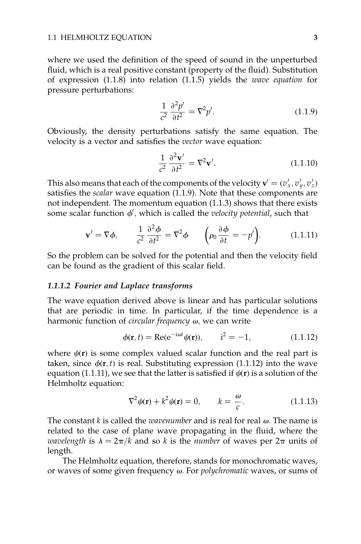where we used the definition of the speed of sound in the unperturbed fluid, which is a real positive constant (property of the fluid). Substitution of expression (1.1.8) into relation (1.1.5) yields the wave equation for pressure perturbations:

$$
\frac{1}{c^2} \frac{\partial^2 p'}{\partial t^2} = \nabla^2 p'.
$$
\n(1.1.9)

Obviously, the density perturbations satisfy the same equation. The velocity is a vector and satisfies the vector wave equation:

$$
\frac{1}{c^2} \frac{\partial^2 \mathbf{v}'}{\partial t^2} = \nabla^2 \mathbf{v}'.
$$
 (1.1.10)

This also means that each of the components of the velocity  $\mathbf{v}' = (v'_x, v'_y, v'_z)$ satisfies the *scalar* wave equation (1.1.9). Note that these components are not independent. The momentum equation (1.1.3) shows that there exists some scalar function  $\phi'$ , which is called the velocity potential, such that

$$
\mathbf{v}' = \nabla \phi, \qquad \frac{1}{c^2} \frac{\partial^2 \phi}{\partial t^2} = \nabla^2 \phi \qquad \left( \rho_0 \frac{\partial \phi}{\partial t} = -p' \right). \tag{1.1.11}
$$

So the problem can be solved for the potential and then the velocity field can be found as the gradient of this scalar field.

## 1.1.1.2 Fourier and Laplace transforms

The wave equation derived above is linear and has particular solutions that are periodic in time. In particular, if the time dependence is a harmonic function of *circular frequency*  $\omega$ , we can write

$$
\phi(\mathbf{r}, t) = \text{Re}(e^{-i\omega t}\psi(\mathbf{r})), \quad i^2 = -1,
$$
\n(1.1.12)

where  $\psi(\mathbf{r})$  is some complex valued scalar function and the real part is taken, since  $\phi(\mathbf{r}, t)$  is real. Substituting expression (1.1.12) into the wave equation (1.1.11), we see that the latter is satisfied if  $\psi(\mathbf{r})$  is a solution of the Helmholtz equation:

$$
\nabla^2 \psi(\mathbf{r}) + k^2 \psi(\mathbf{r}) = 0, \qquad k = \frac{\omega}{c}.
$$
 (1.1.13)

The constant k is called the *wavenumber* and is real for real  $\omega$ . The name is related to the case of plane wave propagating in the fluid, where the *wavelength* is  $\lambda = 2\pi/k$  and so k is the *number* of waves per  $2\pi$  units of length.

The Helmholtz equation, therefore, stands for monochromatic waves, or waves of some given frequency  $\omega$ . For polychromatic waves, or sums of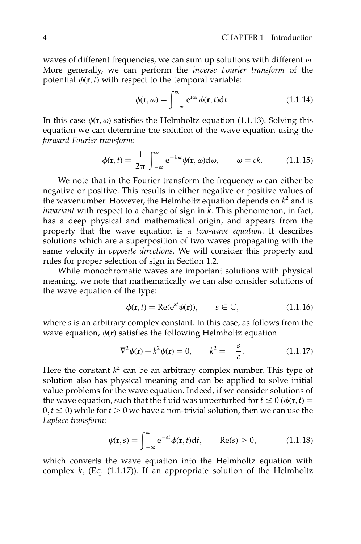waves of different frequencies, we can sum up solutions with different  $\omega$ . More generally, we can perform the *inverse Fourier transform* of the potential  $\phi(\mathbf{r}, t)$  with respect to the temporal variable:

$$
\psi(\mathbf{r}, \omega) = \int_{-\infty}^{\infty} e^{i\omega t} \phi(\mathbf{r}, t) dt.
$$
 (1.1.14)

In this case  $\psi(\mathbf{r}, \omega)$  satisfies the Helmholtz equation (1.1.13). Solving this equation we can determine the solution of the wave equation using the forward Fourier transform:

$$
\phi(\mathbf{r},t) = \frac{1}{2\pi} \int_{-\infty}^{\infty} e^{-i\omega t} \psi(\mathbf{r},\omega) d\omega, \qquad \omega = ck.
$$
 (1.1.15)

We note that in the Fourier transform the frequency  $\omega$  can either be negative or positive. This results in either negative or positive values of the wavenumber. However, the Helmholtz equation depends on  $k^2$  and is *invariant* with respect to a change of sign in  $\overline{k}$ . This phenomenon, in fact, has a deep physical and mathematical origin, and appears from the property that the wave equation is a two-wave equation. It describes solutions which are a superposition of two waves propagating with the same velocity in opposite directions. We will consider this property and rules for proper selection of sign in Section 1.2.

While monochromatic waves are important solutions with physical meaning, we note that mathematically we can also consider solutions of the wave equation of the type:

$$
\phi(\mathbf{r},t) = \text{Re}(e^{st}\psi(\mathbf{r})), \qquad s \in \mathbb{C}, \tag{1.1.16}
$$

where s is an arbitrary complex constant. In this case, as follows from the wave equation,  $\psi(\mathbf{r})$  satisfies the following Helmholtz equation

$$
\nabla^2 \psi(\mathbf{r}) + k^2 \psi(\mathbf{r}) = 0, \qquad k^2 = -\frac{s}{c}.
$$
 (1.1.17)

Here the constant  $k^2$  can be an arbitrary complex number. This type of solution also has physical meaning and can be applied to solve initial value problems for the wave equation. Indeed, if we consider solutions of the wave equation, such that the fluid was unperturbed for  $t \leq 0$  ( $\phi(\mathbf{r}, t) =$  $0, t \leq 0$ ) while for  $t > 0$  we have a non-trivial solution, then we can use the Laplace transform:

$$
\psi(\mathbf{r},s) = \int_{-\infty}^{\infty} e^{-st} \phi(\mathbf{r},t) dt, \quad \text{Re}(s) > 0,
$$
 (1.1.18)

which converts the wave equation into the Helmholtz equation with complex  $k$ , (Eq. (1.1.17)). If an appropriate solution of the Helmholtz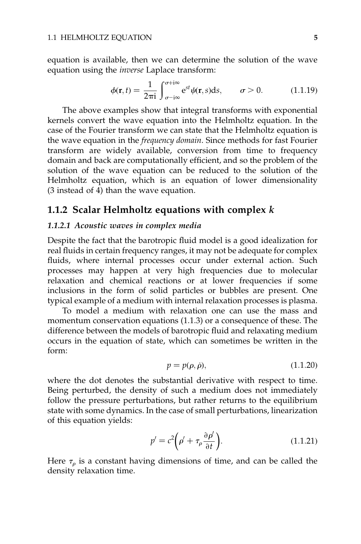equation is available, then we can determine the solution of the wave equation using the inverse Laplace transform:

$$
\phi(\mathbf{r},t) = \frac{1}{2\pi i} \int_{\sigma - i\infty}^{\sigma + i\infty} e^{st} \psi(\mathbf{r},s) ds, \qquad \sigma > 0.
$$
 (1.1.19)

The above examples show that integral transforms with exponential kernels convert the wave equation into the Helmholtz equation. In the case of the Fourier transform we can state that the Helmholtz equation is the wave equation in the frequency domain. Since methods for fast Fourier transform are widely available, conversion from time to frequency domain and back are computationally efficient, and so the problem of the solution of the wave equation can be reduced to the solution of the Helmholtz equation, which is an equation of lower dimensionality (3 instead of 4) than the wave equation.

## 1.1.2 Scalar Helmholtz equations with complex  $k$

#### 1.1.2.1 Acoustic waves in complex media

Despite the fact that the barotropic fluid model is a good idealization for real fluids in certain frequency ranges, it may not be adequate for complex fluids, where internal processes occur under external action. Such processes may happen at very high frequencies due to molecular relaxation and chemical reactions or at lower frequencies if some inclusions in the form of solid particles or bubbles are present. One typical example of a medium with internal relaxation processes is plasma.

To model a medium with relaxation one can use the mass and momentum conservation equations (1.1.3) or a consequence of these. The difference between the models of barotropic fluid and relaxating medium occurs in the equation of state, which can sometimes be written in the form:

$$
p = p(\rho, \dot{\rho}), \tag{1.1.20}
$$

where the dot denotes the substantial derivative with respect to time. Being perturbed, the density of such a medium does not immediately follow the pressure perturbations, but rather returns to the equilibrium state with some dynamics. In the case of small perturbations, linearization of this equation yields:

$$
p' = c^2 \left( \rho' + \tau_\rho \frac{\partial \rho'}{\partial t} \right).
$$
 (1.1.21)

Here  $\tau$ <sub>o</sub> is a constant having dimensions of time, and can be called the density relaxation time.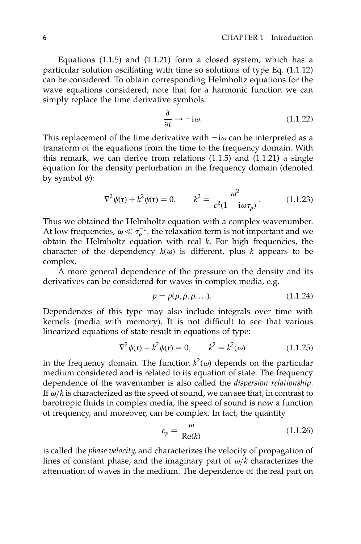Equations (1.1.5) and (1.1.21) form a closed system, which has a particular solution oscillating with time so solutions of type Eq. (1.1.12) can be considered. To obtain corresponding Helmholtz equations for the wave equations considered, note that for a harmonic function we can simply replace the time derivative symbols:

$$
\frac{\partial}{\partial t} \to -\mathrm{i}\omega. \tag{1.1.22}
$$

This replacement of the time derivative with  $-i\omega$  can be interpreted as a transform of the equations from the time to the frequency domain. With this remark, we can derive from relations (1.1.5) and (1.1.21) a single equation for the density perturbation in the frequency domain (denoted by symbol  $\psi$ :

$$
\nabla^2 \psi(\mathbf{r}) + k^2 \psi(\mathbf{r}) = 0, \qquad k^2 = \frac{\omega^2}{c^2 (1 - i \omega \tau_\rho)}.
$$
 (1.1.23)

Thus we obtained the Helmholtz equation with a complex wavenumber. At low frequencies,  $\omega \ll \tau_{\rho}^{-1}$ , the relaxation term is not important and we obtain the Helmholtz equation with real  $k$ . For high frequencies, the character of the dependency  $k(\omega)$  is different, plus k appears to be complex.

A more general dependence of the pressure on the density and its derivatives can be considered for waves in complex media, e.g.

$$
p = p(\rho, \dot{\rho}, \ddot{\rho}, \ldots). \tag{1.1.24}
$$

Dependences of this type may also include integrals over time with kernels (media with memory). It is not difficult to see that various linearized equations of state result in equations of type:

$$
\nabla^2 \psi(\mathbf{r}) + k^2 \psi(\mathbf{r}) = 0, \qquad k^2 = k^2(\omega) \tag{1.1.25}
$$

in the frequency domain. The function  $k^2(\omega)$  depends on the particular medium considered and is related to its equation of state. The frequency dependence of the wavenumber is also called the dispersion relationship. If  $\omega/k$  is characterized as the speed of sound, we can see that, in contrast to barotropic fluids in complex media, the speed of sound is now a function of frequency, and moreover, can be complex. In fact, the quantity

$$
c_p = \frac{\omega}{\text{Re}(k)}\tag{1.1.26}
$$

is called the phase velocity, and characterizes the velocity of propagation of lines of constant phase, and the imaginary part of  $\omega/k$  characterizes the attenuation of waves in the medium. The dependence of the real part on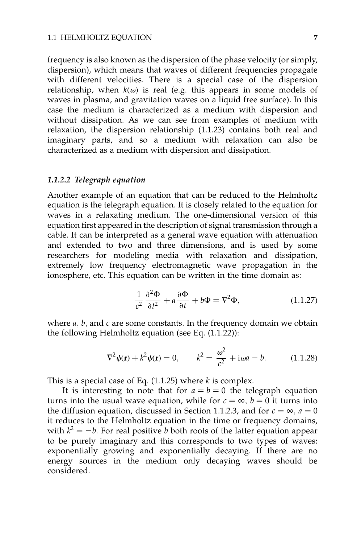frequency is also known as the dispersion of the phase velocity (or simply, dispersion), which means that waves of different frequencies propagate with different velocities. There is a special case of the dispersion relationship, when  $k(\omega)$  is real (e.g. this appears in some models of waves in plasma, and gravitation waves on a liquid free surface). In this case the medium is characterized as a medium with dispersion and without dissipation. As we can see from examples of medium with relaxation, the dispersion relationship (1.1.23) contains both real and imaginary parts, and so a medium with relaxation can also be characterized as a medium with dispersion and dissipation.

## 1.1.2.2 Telegraph equation

Another example of an equation that can be reduced to the Helmholtz equation is the telegraph equation. It is closely related to the equation for waves in a relaxating medium. The one-dimensional version of this equation first appeared in the description of signal transmission through a cable. It can be interpreted as a general wave equation with attenuation and extended to two and three dimensions, and is used by some researchers for modeling media with relaxation and dissipation, extremely low frequency electromagnetic wave propagation in the ionosphere, etc. This equation can be written in the time domain as:

$$
\frac{1}{c^2} \frac{\partial^2 \Phi}{\partial t^2} + a \frac{\partial \Phi}{\partial t} + b\Phi = \nabla^2 \Phi,
$$
 (1.1.27)

where  $a, b$ , and  $c$  are some constants. In the frequency domain we obtain the following Helmholtz equation (see Eq. (1.1.22)):

$$
\nabla^2 \psi(\mathbf{r}) + k^2 \psi(\mathbf{r}) = 0, \qquad k^2 = \frac{\omega^2}{c^2} + i\omega a - b. \tag{1.1.28}
$$

This is a special case of Eq.  $(1.1.25)$  where k is complex.

It is interesting to note that for  $a = b = 0$  the telegraph equation turns into the usual wave equation, while for  $c = \infty$ ,  $b = 0$  it turns into the diffusion equation, discussed in Section 1.1.2.3, and for  $c = \infty$ ,  $a = 0$ it reduces to the Helmholtz equation in the time or frequency domains, with  $k^2 = -b$ . For real positive b both roots of the latter equation appear to be purely imaginary and this corresponds to two types of waves: exponentially growing and exponentially decaying. If there are no energy sources in the medium only decaying waves should be considered.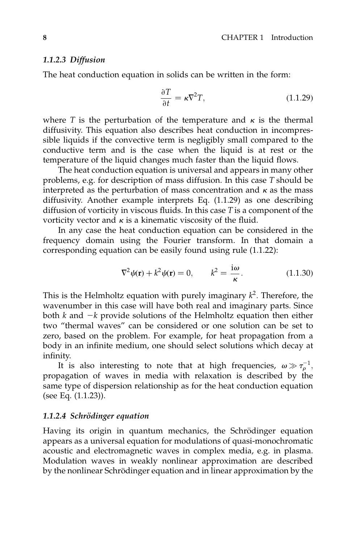#### 1.1.2.3 Diffusion

The heat conduction equation in solids can be written in the form:

$$
\frac{\partial T}{\partial t} = \kappa \nabla^2 T,\tag{1.1.29}
$$

where  $T$  is the perturbation of the temperature and  $\kappa$  is the thermal diffusivity. This equation also describes heat conduction in incompressible liquids if the convective term is negligibly small compared to the conductive term and is the case when the liquid is at rest or the temperature of the liquid changes much faster than the liquid flows.

The heat conduction equation is universal and appears in many other problems, e.g. for description of mass diffusion. In this case T should be interpreted as the perturbation of mass concentration and  $\kappa$  as the mass diffusivity. Another example interprets Eq. (1.1.29) as one describing diffusion of vorticity in viscous fluids. In this case T is a component of the vorticity vector and  $\kappa$  is a kinematic viscosity of the fluid.

In any case the heat conduction equation can be considered in the frequency domain using the Fourier transform. In that domain a corresponding equation can be easily found using rule (1.1.22):

$$
\nabla^2 \psi(\mathbf{r}) + k^2 \psi(\mathbf{r}) = 0, \qquad k^2 = \frac{\mathrm{i}\omega}{\kappa}.
$$
 (1.1.30)

This is the Helmholtz equation with purely imaginary  $k^2$ . Therefore, the wavenumber in this case will have both real and imaginary parts. Since both  $k$  and  $-k$  provide solutions of the Helmholtz equation then either two "thermal waves" can be considered or one solution can be set to zero, based on the problem. For example, for heat propagation from a body in an infinite medium, one should select solutions which decay at infinity.

It is also interesting to note that at high frequencies,  $\omega \gg \tau_{\rho}^{-1}$ , propagation of waves in media with relaxation is described by the same type of dispersion relationship as for the heat conduction equation (see Eq. (1.1.23)).

## 1.1.2.4 Schrödinger equation

Having its origin in quantum mechanics, the Schrödinger equation appears as a universal equation for modulations of quasi-monochromatic acoustic and electromagnetic waves in complex media, e.g. in plasma. Modulation waves in weakly nonlinear approximation are described by the nonlinear Schrödinger equation and in linear approximation by the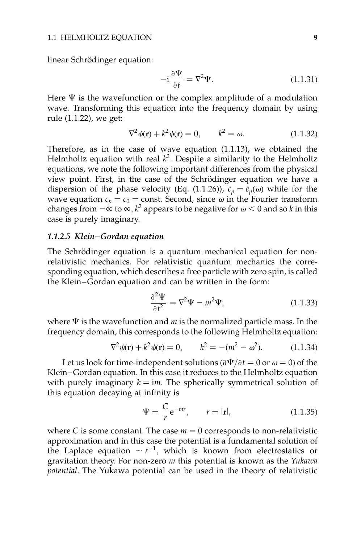linear Schrödinger equation:

$$
-i\frac{\partial \Psi}{\partial t} = \nabla^2 \Psi.
$$
 (1.1.31)

Here  $\Psi$  is the wavefunction or the complex amplitude of a modulation wave. Transforming this equation into the frequency domain by using rule (1.1.22), we get:

$$
\nabla^2 \psi(\mathbf{r}) + k^2 \psi(\mathbf{r}) = 0, \qquad k^2 = \omega. \tag{1.1.32}
$$

Therefore, as in the case of wave equation (1.1.13), we obtained the Helmholtz equation with real  $k^2$ . Despite a similarity to the Helmholtz equations, we note the following important differences from the physical view point. First, in the case of the Schrödinger equation we have a dispersion of the phase velocity (Eq. (1.1.26)),  $c_p = c_p(\omega)$  while for the wave equation  $c_p = c_0$  = const. Second, since  $\omega$  in the Fourier transform changes from  $-\infty$  to  $\infty$ ,  $k^2$  appears to be negative for  $\omega < 0$  and so k in this case is purely imaginary.

## 1.1.2.5 Klein–Gordan equation

The Schrödinger equation is a quantum mechanical equation for nonrelativistic mechanics. For relativistic quantum mechanics the corresponding equation, which describes a free particle with zero spin, is called the Klein–Gordan equation and can be written in the form:

$$
\frac{\partial^2 \Psi}{\partial t^2} = \nabla^2 \Psi - m^2 \Psi,
$$
\n(1.1.33)

where  $\Psi$  is the wavefunction and m is the normalized particle mass. In the frequency domain, this corresponds to the following Helmholtz equation:

$$
\nabla^2 \psi(\mathbf{r}) + k^2 \psi(\mathbf{r}) = 0, \qquad k^2 = -(m^2 - \omega^2). \tag{1.1.34}
$$

Let us look for time-independent solutions ( $\partial \Psi / \partial t = 0$  or  $\omega = 0$ ) of the Klein–Gordan equation. In this case it reduces to the Helmholtz equation with purely imaginary  $k = im$ . The spherically symmetrical solution of this equation decaying at infinity is

$$
\Psi = \frac{C}{r} e^{-mr}, \qquad r = |\mathbf{r}|,\tag{1.1.35}
$$

where C is some constant. The case  $m = 0$  corresponds to non-relativistic approximation and in this case the potential is a fundamental solution of the Laplace equation  $\sim r^{-1}$ , which is known from electrostatics or gravitation theory. For non-zero  $m$  this potential is known as the Yukawa potential. The Yukawa potential can be used in the theory of relativistic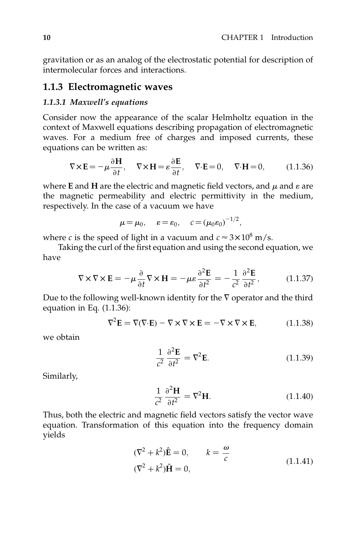gravitation or as an analog of the electrostatic potential for description of intermolecular forces and interactions.

## 1.1.3 Electromagnetic waves

#### 1.1.3.1 Maxwell's equations

Consider now the appearance of the scalar Helmholtz equation in the context of Maxwell equations describing propagation of electromagnetic waves. For a medium free of charges and imposed currents, these equations can be written as:

$$
\nabla \times \mathbf{E} = -\mu \frac{\partial \mathbf{H}}{\partial t}, \quad \nabla \times \mathbf{H} = \varepsilon \frac{\partial \mathbf{E}}{\partial t}, \quad \nabla \cdot \mathbf{E} = 0, \quad \nabla \cdot \mathbf{H} = 0,
$$
 (1.1.36)

where **E** and **H** are the electric and magnetic field vectors, and  $\mu$  and  $\varepsilon$  are the magnetic permeability and electric permittivity in the medium, respectively. In the case of a vacuum we have

$$
\mu = \mu_0, \quad \varepsilon = \varepsilon_0, \quad c = (\mu_0 \varepsilon_0)^{-1/2},
$$

where c is the speed of light in a vacuum and  $c \approx 3 \times 10^8$  m/s.

Taking the curl of the first equation and using the second equation, we have

$$
\nabla \times \nabla \times \mathbf{E} = -\mu \frac{\partial}{\partial t} \nabla \times \mathbf{H} = -\mu \varepsilon \frac{\partial^2 \mathbf{E}}{\partial t^2} = -\frac{1}{c^2} \frac{\partial^2 \mathbf{E}}{\partial t^2},
$$
(1.1.37)

Due to the following well-known identity for the  $\nabla$  operator and the third equation in Eq. (1.1.36):

$$
\nabla^2 \mathbf{E} = \nabla(\nabla \cdot \mathbf{E}) - \nabla \times \nabla \times \mathbf{E} = -\nabla \times \nabla \times \mathbf{E}, \quad (1.1.38)
$$

we obtain

$$
\frac{1}{c^2} \frac{\partial^2 \mathbf{E}}{\partial t^2} = \nabla^2 \mathbf{E}.
$$
 (1.1.39)

Similarly,

$$
\frac{1}{c^2} \frac{\partial^2 \mathbf{H}}{\partial t^2} = \nabla^2 \mathbf{H}.
$$
 (1.1.40)

Thus, both the electric and magnetic field vectors satisfy the vector wave equation. Transformation of this equation into the frequency domain yields

$$
(\nabla^2 + k^2)\hat{\mathbf{E}} = 0, \qquad k = \frac{\omega}{c}
$$
  

$$
(\nabla^2 + k^2)\hat{\mathbf{H}} = 0,
$$
 (1.1.41)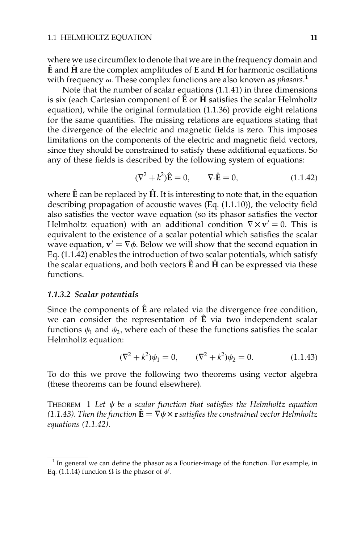where we use circumflex to denote that we are in the frequency domain and  $\hat{E}$  and  $\hat{H}$  are the complex amplitudes of E and H for harmonic oscillations with frequency  $\omega$ . These complex functions are also known as *phasors*.<sup>1</sup>

Note that the number of scalar equations (1.1.41) in three dimensions is six (each Cartesian component of  $\hat{E}$  or  $\hat{H}$  satisfies the scalar Helmholtz equation), while the original formulation (1.1.36) provide eight relations for the same quantities. The missing relations are equations stating that the divergence of the electric and magnetic fields is zero. This imposes limitations on the components of the electric and magnetic field vectors, since they should be constrained to satisfy these additional equations. So any of these fields is described by the following system of equations:

$$
(\nabla^2 + k^2)\hat{\mathbf{E}} = 0, \qquad \nabla \cdot \hat{\mathbf{E}} = 0,
$$
\n(1.1.42)

where  $\hat{E}$  can be replaced by  $\hat{H}$ . It is interesting to note that, in the equation describing propagation of acoustic waves (Eq. (1.1.10)), the velocity field also satisfies the vector wave equation (so its phasor satisfies the vector Helmholtz equation) with an additional condition  $\nabla \times \mathbf{v}' = 0$ . This is equivalent to the existence of a scalar potential which satisfies the scalar wave equation,  $\mathbf{v}' = \nabla \phi$ . Below we will show that the second equation in Eq. (1.1.42) enables the introduction of two scalar potentials, which satisfy the scalar equations, and both vectors  $\hat{E}$  and  $\hat{H}$  can be expressed via these functions.

#### 1.1.3.2 Scalar potentials

Since the components of  $\hat{E}$  are related via the divergence free condition, we can consider the representation of  $\hat{E}$  via two independent scalar functions  $\psi_1$  and  $\psi_2$ , where each of these the functions satisfies the scalar Helmholtz equation:

$$
(\nabla^2 + k^2)\psi_1 = 0, \qquad (\nabla^2 + k^2)\psi_2 = 0. \tag{1.1.43}
$$

To do this we prove the following two theorems using vector algebra (these theorems can be found elsewhere).

THEOREM 1 Let  $\psi$  be a scalar function that satisfies the Helmholtz equation (1.1.43). Then the function  $\hat{\mathbf{E}} = \nabla \psi \times \mathbf{r}$  satisfies the constrained vector Helmholtz equations (1.1.42).

 $1$  In general we can define the phasor as a Fourier-image of the function. For example, in Eq. (1.1.14) function  $\Omega$  is the phasor of  $\phi'$ .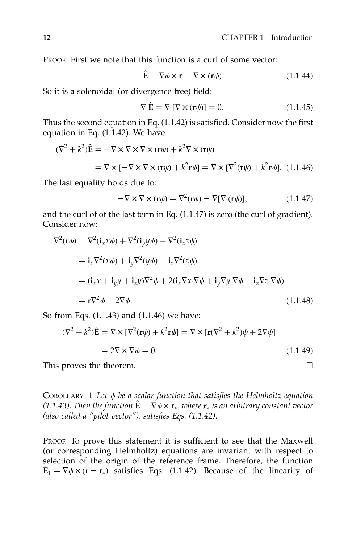PROOF. First we note that this function is a curl of some vector:

$$
\hat{\mathbf{E}} = \nabla \psi \times \mathbf{r} = \nabla \times (\mathbf{r}\psi)
$$
 (1.1.44)

So it is a solenoidal (or divergence free) field:

$$
\nabla \cdot \hat{\mathbf{E}} = \nabla \cdot [\nabla \times (\mathbf{r}\psi)] = 0. \tag{1.1.45}
$$

Thus the second equation in Eq. (1.1.42) is satisfied. Consider now the first equation in Eq. (1.1.42). We have

$$
(\nabla^2 + k^2)\hat{\mathbf{E}} = -\nabla \times \nabla \times \nabla \times (\mathbf{r}\psi) + k^2 \nabla \times (\mathbf{r}\psi)
$$
  
=  $\nabla \times [-\nabla \times \nabla \times (\mathbf{r}\psi) + k^2 \mathbf{r}\psi] = \nabla \times [\nabla^2(\mathbf{r}\psi) + k^2 \mathbf{r}\psi].$  (1.1.46)

The last equality holds due to:

$$
-\nabla \times \nabla \times (\mathbf{r}\psi) = \nabla^2(\mathbf{r}\psi) - \nabla[\nabla \cdot (\mathbf{r}\psi)],\tag{1.1.47}
$$

and the curl of of the last term in Eq. (1.1.47) is zero (the curl of gradient). Consider now:

$$
\nabla^2(\mathbf{r}\psi) = \nabla^2(\mathbf{i}_x x \psi) + \nabla^2(\mathbf{i}_y y \psi) + \nabla^2(\mathbf{i}_z z \psi)
$$
  
\n
$$
= \mathbf{i}_x \nabla^2(x\psi) + \mathbf{i}_y \nabla^2(y\psi) + \mathbf{i}_z \nabla^2(z\psi)
$$
  
\n
$$
= (\mathbf{i}_x x + \mathbf{i}_y y + \mathbf{i}_z y) \nabla^2 \psi + 2(\mathbf{i}_x \nabla x \cdot \nabla \psi + \mathbf{i}_y \nabla y \cdot \nabla \psi + \mathbf{i}_z \nabla z \cdot \nabla \psi)
$$
  
\n
$$
= \mathbf{r} \nabla^2 \psi + 2 \nabla \psi.
$$
\n(1.1.48)

So from Eqs. (1.1.43) and (1.1.46) we have:

$$
(\nabla^2 + k^2)\hat{\mathbf{E}} = \nabla \times [\nabla^2(\mathbf{r}\psi) + k^2 \mathbf{r}\psi] = \nabla \times [\mathbf{r}(\nabla^2 + k^2)\psi + 2\nabla\psi]
$$
  
=  $2\nabla \times \nabla \psi = 0.$  (1.1.49)

This proves the theorem.  $\Box$ 

COROLLARY 1 Let  $\psi$  be a scalar function that satisfies the Helmholtz equation (1.1.43). Then the function  $\hat{\mathbf{E}} = \nabla \psi \times \mathbf{r}_*$ , where  $r_*$  is an arbitrary constant vector (also called a "pilot vector"), satisfies Eqs. (1.1.42).

PROOF. To prove this statement it is sufficient to see that the Maxwell (or corresponding Helmholtz) equations are invariant with respect to selection of the origin of the reference frame. Therefore, the function  $\hat{\mathbf{E}}_1 = \nabla \psi \times (\mathbf{r} - \mathbf{r}_*)$  satisfies Eqs. (1.1.42). Because of the linearity of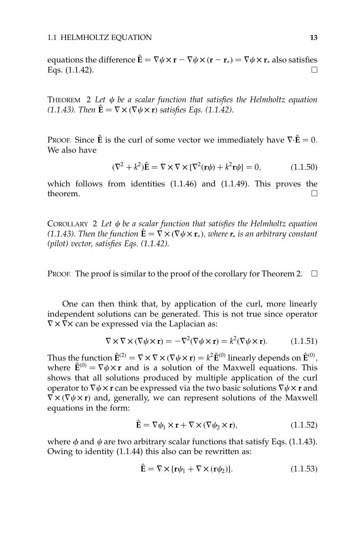equations the difference  $\hat{\mathbf{E}} = \nabla \psi \times \mathbf{r} - \nabla \psi \times (\mathbf{r} - \mathbf{r}_*) = \nabla \psi \times \mathbf{r}_*$  also satisfies Eqs.  $(1.1.42)$ .

THEOREM 2 Let  $\psi$  be a scalar function that satisfies the Helmholtz equation (1.1.43). Then  $\hat{\mathbf{E}} = \nabla \times (\nabla \psi \times \mathbf{r})$  satisfies Eqs. (1.1.42).

PROOF. Since  $\hat{E}$  is the curl of some vector we immediately have  $\nabla \cdot \hat{E} = 0$ . We also have

$$
(\nabla^2 + k^2)\hat{\mathbf{E}} = \nabla \times \nabla \times [\nabla^2(\mathbf{r}\psi) + k^2 \mathbf{r}\psi] = 0,
$$
 (1.1.50)

which follows from identities (1.1.46) and (1.1.49). This proves the theorem.  $\Box$ 

COROLLARY 2 Let  $\psi$  be a scalar function that satisfies the Helmholtz equation (1.1.43). Then the function  $\hat{\mathbf{E}} = \nabla \times (\nabla \psi \times \mathbf{r}_*)$ , where  $\mathbf{r}_*$  is an arbitrary constant (pilot) vector, satisfies Eqs. (1.1.42).

PROOF. The proof is similar to the proof of the corollary for Theorem 2.  $\Box$ 

One can then think that, by application of the curl, more linearly independent solutions can be generated. This is not true since operator  $\nabla \times \nabla \times$  can be expressed via the Laplacian as:

$$
\nabla \times \nabla \times (\nabla \psi \times \mathbf{r}) = -\nabla^2 (\nabla \psi \times \mathbf{r}) = k^2 (\nabla \psi \times \mathbf{r}).
$$
 (1.1.51)

Thus the function  $\hat{\mathbf{E}}^{(2)} = \nabla \times \nabla \times (\nabla \psi \times \mathbf{r}) = k^2 \hat{\mathbf{E}}^{(0)}$  linearly depends on  $\hat{\mathbf{E}}^{(0)},$ where  $\hat{\mathbf{E}}^{(0)} = \nabla \psi \times \mathbf{r}$  and is a solution of the Maxwell equations. This shows that all solutions produced by multiple application of the curl operator to  $\nabla \psi \times r$  can be expressed via the two basic solutions  $\nabla \psi \times r$  and  $\nabla \times (\nabla \psi \times r)$  and, generally, we can represent solutions of the Maxwell equations in the form:

$$
\hat{\mathbf{E}} = \nabla \psi_1 \times \mathbf{r} + \nabla \times (\nabla \psi_2 \times \mathbf{r}), \tag{1.1.52}
$$

where  $\phi$  and  $\psi$  are two arbitrary scalar functions that satisfy Eqs. (1.1.43). Owing to identity (1.1.44) this also can be rewritten as:

$$
\hat{\mathbf{E}} = \nabla \times [\mathbf{r}\psi_1 + \nabla \times (\mathbf{r}\psi_2)].
$$
\n(1.1.53)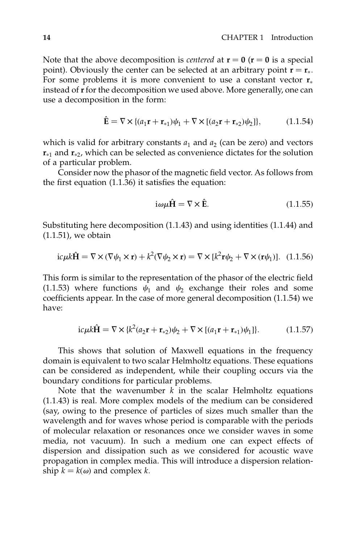Note that the above decomposition is *centered* at  $r = 0$  ( $r = 0$  is a special point). Obviously the center can be selected at an arbitrary point  $\mathbf{r} = \mathbf{r}_*$ . For some problems it is more convenient to use a constant vector  $\mathbf{r}_*$ instead of r for the decomposition we used above. More generally, one can use a decomposition in the form:

$$
\hat{\mathbf{E}} = \nabla \times \{ (a_1 \mathbf{r} + \mathbf{r}_{*1}) \psi_1 + \nabla \times \left[ (a_2 \mathbf{r} + \mathbf{r}_{*2}) \psi_2 \right] \},\tag{1.1.54}
$$

which is valid for arbitrary constants  $a_1$  and  $a_2$  (can be zero) and vectors  $r_{*1}$  and  $r_{*2}$ , which can be selected as convenience dictates for the solution of a particular problem.

Consider now the phasor of the magnetic field vector. As follows from the first equation (1.1.36) it satisfies the equation:

$$
i\omega\mu\hat{H} = \nabla \times \hat{E}.
$$
 (1.1.55)

Substituting here decomposition (1.1.43) and using identities (1.1.44) and (1.1.51), we obtain

$$
ic\mu k\hat{\mathbf{H}} = \nabla \times (\nabla \psi_1 \times \mathbf{r}) + k^2 (\nabla \psi_2 \times \mathbf{r}) = \nabla \times [k^2 \mathbf{r} \psi_2 + \nabla \times (\mathbf{r} \psi_1)]. \tag{1.1.56}
$$

This form is similar to the representation of the phasor of the electric field (1.1.53) where functions  $\psi_1$  and  $\psi_2$  exchange their roles and some coefficients appear. In the case of more general decomposition (1.1.54) we have:

$$
ic\mu k\hat{H} = \nabla \times \{k^2(a_2r + r_{*2})\psi_2 + \nabla \times [(a_1r + r_{*1})\psi_1]\}.
$$
 (1.1.57)

This shows that solution of Maxwell equations in the frequency domain is equivalent to two scalar Helmholtz equations. These equations can be considered as independent, while their coupling occurs via the boundary conditions for particular problems.

Note that the wavenumber  $k$  in the scalar Helmholtz equations (1.1.43) is real. More complex models of the medium can be considered (say, owing to the presence of particles of sizes much smaller than the wavelength and for waves whose period is comparable with the periods of molecular relaxation or resonances once we consider waves in some media, not vacuum). In such a medium one can expect effects of dispersion and dissipation such as we considered for acoustic wave propagation in complex media. This will introduce a dispersion relationship  $k = k(\omega)$  and complex k.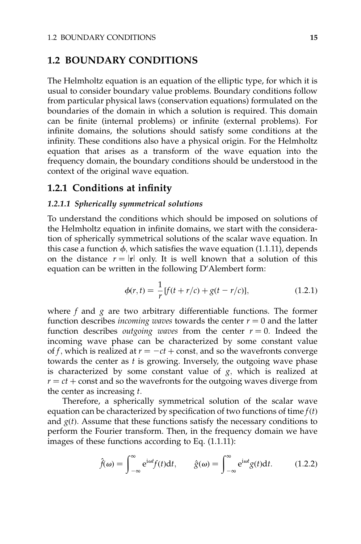## 1.2 BOUNDARY CONDITIONS

The Helmholtz equation is an equation of the elliptic type, for which it is usual to consider boundary value problems. Boundary conditions follow from particular physical laws (conservation equations) formulated on the boundaries of the domain in which a solution is required. This domain can be finite (internal problems) or infinite (external problems). For infinite domains, the solutions should satisfy some conditions at the infinity. These conditions also have a physical origin. For the Helmholtz equation that arises as a transform of the wave equation into the frequency domain, the boundary conditions should be understood in the context of the original wave equation.

# 1.2.1 Conditions at infinity

## 1.2.1.1 Spherically symmetrical solutions

To understand the conditions which should be imposed on solutions of the Helmholtz equation in infinite domains, we start with the consideration of spherically symmetrical solutions of the scalar wave equation. In this case a function  $\phi$ , which satisfies the wave equation (1.1.11), depends on the distance  $r = |\mathbf{r}|$  only. It is well known that a solution of this equation can be written in the following D'Alembert form:

$$
\phi(r,t) = \frac{1}{r} [f(t+r/c) + g(t-r/c)], \qquad (1.2.1)
$$

where  $f$  and  $g$  are two arbitrary differentiable functions. The former function describes *incoming waves* towards the center  $r = 0$  and the latter function describes *outgoing waves* from the center  $r = 0$ . Indeed the incoming wave phase can be characterized by some constant value of f, which is realized at  $r = -ct + \text{const}$ , and so the wavefronts converge towards the center as  $t$  is growing. Inversely, the outgoing wave phase is characterized by some constant value of  $g$ , which is realized at  $r = ct + const$  and so the wavefronts for the outgoing waves diverge from the center as increasing  $t$ .

Therefore, a spherically symmetrical solution of the scalar wave equation can be characterized by specification of two functions of time  $f(t)$ and  $g(t)$ . Assume that these functions satisfy the necessary conditions to perform the Fourier transform. Then, in the frequency domain we have images of these functions according to Eq. (1.1.11):

$$
\hat{f}(\omega) = \int_{-\infty}^{\infty} e^{i\omega t} f(t) dt, \qquad \hat{g}(\omega) = \int_{-\infty}^{\infty} e^{i\omega t} g(t) dt.
$$
 (1.2.2)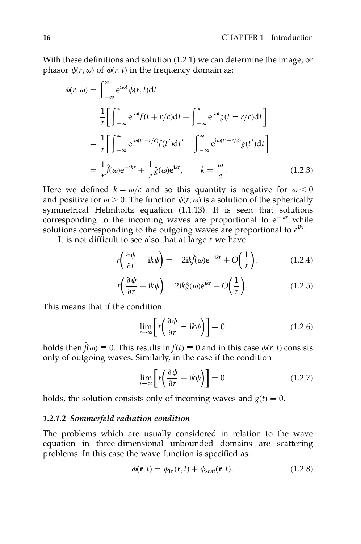With these definitions and solution (1.2.1) we can determine the image, or phasor  $\psi(r, \omega)$  of  $\phi(r, t)$  in the frequency domain as:

$$
\psi(r,\omega) = \int_{-\infty}^{\infty} e^{i\omega t} \phi(r,t) dt
$$
  
\n
$$
= \frac{1}{r} \Biggl[ \int_{-\infty}^{\infty} e^{i\omega t} f(t+r/c) dt + \int_{-\infty}^{\infty} e^{i\omega t} g(t-r/c) dt \Biggr]
$$
  
\n
$$
= \frac{1}{r} \Biggl[ \int_{-\infty}^{\infty} e^{i\omega (t'-r/c)} f(t') dt' + \int_{-\infty}^{\infty} e^{i\omega (t'+r/c)} g(t') dt \Biggr]
$$
  
\n
$$
= \frac{1}{r} \hat{f}(\omega) e^{-ikr} + \frac{1}{r} \hat{g}(\omega) e^{ikr}, \qquad k = \frac{\omega}{c}.
$$
 (1.2.3)

Here we defined  $k = \omega/c$  and so this quantity is negative for  $\omega < 0$ and positive for  $\omega > 0$ . The function  $\psi(r, \omega)$  is a solution of the spherically symmetrical Helmholtz equation (1.1.13). It is seen that solutions corresponding to the incoming waves are proportional to  $e^{-ikr}$  while solutions corresponding to the outgoing waves are proportional to  $e^{ikr}$ .

It is not difficult to see also that at large  $r$  we have:

$$
r\left(\frac{\partial\psi}{\partial r} - ik\psi\right) = -2ik\hat{f}(\omega)e^{-ikr} + O\left(\frac{1}{r}\right),\tag{1.2.4}
$$

$$
r\left(\frac{\partial \psi}{\partial r} + ik\psi\right) = 2ik\hat{g}(\omega)e^{ikr} + O\left(\frac{1}{r}\right).
$$
 (1.2.5)

This means that if the condition

$$
\lim_{r \to \infty} \left[ r \left( \frac{\partial \psi}{\partial r} - ik \psi \right) \right] = 0 \tag{1.2.6}
$$

holds then  $\hat{f}(\omega) \equiv 0$ . This results in  $f(t) \equiv 0$  and in this case  $\phi(r, t)$  consists only of outgoing waves. Similarly, in the case if the condition

$$
\lim_{r \to \infty} \left[ r \left( \frac{\partial \psi}{\partial r} + ik\psi \right) \right] = 0 \tag{1.2.7}
$$

holds, the solution consists only of incoming waves and  $g(t) \equiv 0$ .

## 1.2.1.2 Sommerfeld radiation condition

The problems which are usually considered in relation to the wave equation in three-dimensional unbounded domains are scattering problems. In this case the wave function is specified as:

$$
\phi(\mathbf{r},t) = \phi_{\text{in}}(\mathbf{r},t) + \phi_{\text{scat}}(\mathbf{r},t),\tag{1.2.8}
$$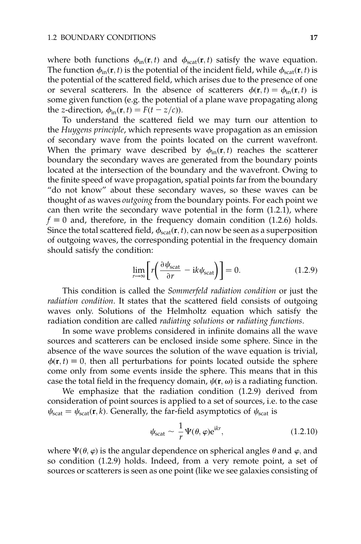where both functions  $\phi_{\text{in}}(\mathbf{r}, t)$  and  $\phi_{\text{scat}}(\mathbf{r}, t)$  satisfy the wave equation. The function  $\phi_{\text{in}}(\mathbf{r}, t)$  is the potential of the incident field, while  $\phi_{\text{scat}}(\mathbf{r}, t)$  is the potential of the scattered field, which arises due to the presence of one or several scatterers. In the absence of scatterers  $\phi(\mathbf{r}, t) = \phi_{\text{in}}(\mathbf{r}, t)$  is some given function (e.g. the potential of a plane wave propagating along the z-direction,  $\phi_{\text{in}}(\mathbf{r},t) = F(t-z/c)$ ).

To understand the scattered field we may turn our attention to the Huygens principle, which represents wave propagation as an emission of secondary wave from the points located on the current wavefront. When the primary wave described by  $\phi_{in}(\mathbf{r}, t)$  reaches the scatterer boundary the secondary waves are generated from the boundary points located at the intersection of the boundary and the wavefront. Owing to the finite speed of wave propagation, spatial points far from the boundary "do not know" about these secondary waves, so these waves can be thought of as waves outgoing from the boundary points. For each point we can then write the secondary wave potential in the form  $(1.2.1)$ , where  $f \equiv 0$  and, therefore, in the frequency domain condition (1.2.6) holds. Since the total scattered field,  $\phi_{scat}(\mathbf{r}, t)$ , can now be seen as a superposition of outgoing waves, the corresponding potential in the frequency domain should satisfy the condition:

$$
\lim_{r \to \infty} \left[ r \left( \frac{\partial \psi_{\text{scat}}}{\partial r} - i k \psi_{\text{scat}} \right) \right] = 0. \tag{1.2.9}
$$

This condition is called the Sommerfeld radiation condition or just the radiation condition. It states that the scattered field consists of outgoing waves only. Solutions of the Helmholtz equation which satisfy the radiation condition are called radiating solutions or radiating functions.

In some wave problems considered in infinite domains all the wave sources and scatterers can be enclosed inside some sphere. Since in the absence of the wave sources the solution of the wave equation is trivial,  $\phi(\mathbf{r}, t) \equiv 0$ , then all perturbations for points located outside the sphere come only from some events inside the sphere. This means that in this case the total field in the frequency domain,  $\psi(\mathbf{r}, \omega)$  is a radiating function.

We emphasize that the radiation condition (1.2.9) derived from consideration of point sources is applied to a set of sources, i.e. to the case  $\psi_{\text{scat}} = \psi_{\text{scat}}(\mathbf{r}, k)$ . Generally, the far-field asymptotics of  $\psi_{\text{scat}}$  is

$$
\psi_{\text{scat}} \sim \frac{1}{r} \Psi(\theta, \varphi) e^{ikr}, \qquad (1.2.10)
$$

where  $\Psi(\theta, \varphi)$  is the angular dependence on spherical angles  $\theta$  and  $\varphi$ , and so condition (1.2.9) holds. Indeed, from a very remote point, a set of sources or scatterers is seen as one point (like we see galaxies consisting of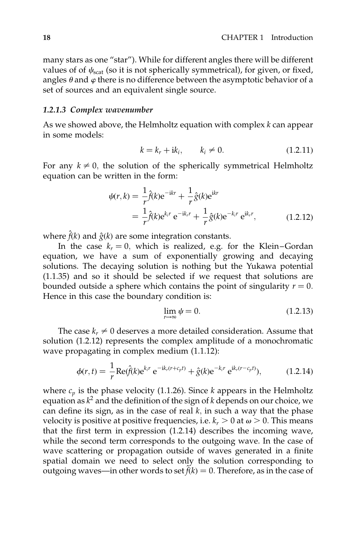many stars as one "star"). While for different angles there will be different values of of  $\psi_{scat}$  (so it is not spherically symmetrical), for given, or fixed, angles  $\theta$  and  $\varphi$  there is no difference between the asymptotic behavior of a set of sources and an equivalent single source.

## 1.2.1.3 Complex wavenumber

As we showed above, the Helmholtz equation with complex  $k$  can appear in some models:

$$
k = k_r + ik_i, \t k_i \neq 0.
$$
 (1.2.11)

For any  $k \neq 0$ , the solution of the spherically symmetrical Helmholtz equation can be written in the form:

$$
\psi(r,k) = \frac{1}{r}\hat{f}(k)e^{-ikr} + \frac{1}{r}\hat{g}(k)e^{ikr}
$$
  
= 
$$
\frac{1}{r}\hat{f}(k)e^{k_ir}e^{-ik_rr} + \frac{1}{r}\hat{g}(k)e^{-k_ir}e^{ik_rr},
$$
 (1.2.12)

where  $\hat{f}(k)$  and  $\hat{g}(k)$  are some integration constants.

In the case  $k_r = 0$ , which is realized, e.g. for the Klein–Gordan equation, we have a sum of exponentially growing and decaying solutions. The decaying solution is nothing but the Yukawa potential (1.1.35) and so it should be selected if we request that solutions are bounded outside a sphere which contains the point of singularity  $r = 0$ . Hence in this case the boundary condition is:

$$
\lim_{r \to \infty} \psi = 0. \tag{1.2.13}
$$

The case  $k_r \neq 0$  deserves a more detailed consideration. Assume that solution (1.2.12) represents the complex amplitude of a monochromatic wave propagating in complex medium (1.1.12):

$$
\phi(r,t) = \frac{1}{r} \text{Re}(\hat{f}(k)e^{k_i r} e^{-ik_r (r+c_p t)} + \hat{g}(k)e^{-k_i r} e^{ik_r (r-c_p t)}), \tag{1.2.14}
$$

where  $c_p$  is the phase velocity (1.1.26). Since k appears in the Helmholtz equation as  $k^2$  and the definition of the sign of k depends on our choice, we can define its sign, as in the case of real  $k$ , in such a way that the phase velocity is positive at positive frequencies, i.e.  $k_r > 0$  at  $\omega > 0$ . This means that the first term in expression (1.2.14) describes the incoming wave, while the second term corresponds to the outgoing wave. In the case of wave scattering or propagation outside of waves generated in a finite spatial domain we need to select only the solution corresponding to outgoing waves—in other words to set  $\hat{f}(\vec{k}) = 0$ . Therefore, as in the case of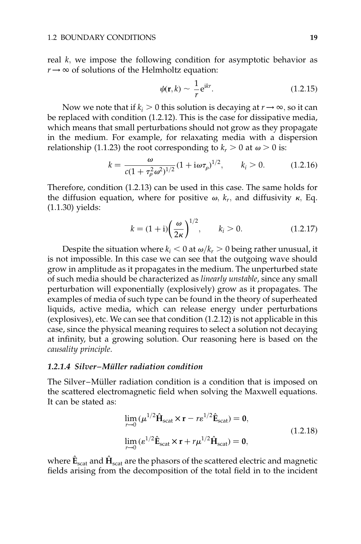real  $k$ , we impose the following condition for asymptotic behavior as  $r \rightarrow \infty$  of solutions of the Helmholtz equation:

$$
\psi(\mathbf{r},k) \sim \frac{1}{r} \mathrm{e}^{\mathrm{i}kr}.\tag{1.2.15}
$$

Now we note that if  $k_i > 0$  this solution is decaying at  $r \rightarrow \infty$ , so it can be replaced with condition (1.2.12). This is the case for dissipative media, which means that small perturbations should not grow as they propagate in the medium. For example, for relaxating media with a dispersion relationship (1.1.23) the root corresponding to  $k_r > 0$  at  $\omega > 0$  is:

$$
k = \frac{\omega}{c(1 + \tau_\rho^2 \omega^2)^{1/2}} (1 + i\omega \tau_\rho)^{1/2}, \qquad k_i > 0.
$$
 (1.2.16)

Therefore, condition (1.2.13) can be used in this case. The same holds for the diffusion equation, where for positive  $\omega$ ,  $k_r$ , and diffusivity  $\kappa$ , Eq. (1.1.30) yields:

$$
k = (1 + i) \left(\frac{\omega}{2\kappa}\right)^{1/2}, \qquad k_i > 0.
$$
 (1.2.17)

Despite the situation where  $k_i < 0$  at  $\omega/k_r > 0$  being rather unusual, it is not impossible. In this case we can see that the outgoing wave should grow in amplitude as it propagates in the medium. The unperturbed state of such media should be characterized as linearly unstable, since any small perturbation will exponentially (explosively) grow as it propagates. The examples of media of such type can be found in the theory of superheated liquids, active media, which can release energy under perturbations (explosives), etc. We can see that condition (1.2.12) is not applicable in this case, since the physical meaning requires to select a solution not decaying at infinity, but a growing solution. Our reasoning here is based on the causality principle.

#### 1.2.1.4 Silver–Müller radiation condition

The Silver–Müller radiation condition is a condition that is imposed on the scattered electromagnetic field when solving the Maxwell equations. It can be stated as:

$$
\lim_{r \to 0} (\mu^{1/2} \hat{\mathbf{H}}_{\text{scat}} \times \mathbf{r} - r\epsilon^{1/2} \hat{\mathbf{E}}_{\text{scat}}) = \mathbf{0},
$$
\n
$$
\lim_{r \to 0} (\epsilon^{1/2} \hat{\mathbf{E}}_{\text{scat}} \times \mathbf{r} + r\mu^{1/2} \hat{\mathbf{H}}_{\text{scat}}) = \mathbf{0},
$$
\n(1.2.18)

where  $\hat{\mathbf{E}}_{\rm scat}$  and  $\hat{\mathbf{H}}_{\rm scat}$  are the phasors of the scattered electric and magnetic fields arising from the decomposition of the total field in to the incident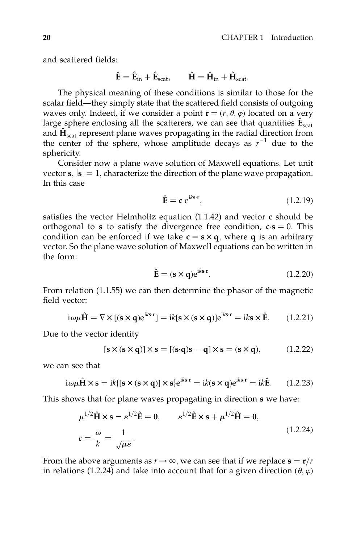and scattered fields:

$$
\hat{\mathbf{E}} = \hat{\mathbf{E}}_{in} + \hat{\mathbf{E}}_{scat}, \qquad \hat{\mathbf{H}} = \hat{\mathbf{H}}_{in} + \hat{\mathbf{H}}_{scat}.
$$

The physical meaning of these conditions is similar to those for the scalar field—they simply state that the scattered field consists of outgoing waves only. Indeed, if we consider a point  $\mathbf{r} = (r, \theta, \varphi)$  located on a very large sphere enclosing all the scatterers, we can see that quantities  $\hat{E}_{\text{scat}}$ and  $\hat{H}_{\text{scat}}$  represent plane waves propagating in the radial direction from the center of the sphere, whose amplitude decays as  $r^{-1}$  due to the sphericity.

Consider now a plane wave solution of Maxwell equations. Let unit vector  $s$ ,  $|s| = 1$ , characterize the direction of the plane wave propagation. In this case

$$
\hat{\mathbf{E}} = \mathbf{c} e^{i k \mathbf{s} \cdot \mathbf{r}},\tag{1.2.19}
$$

satisfies the vector Helmholtz equation  $(1.1.42)$  and vector c should be orthogonal to s to satisfy the divergence free condition,  $\mathbf{c} \cdot \mathbf{s} = 0$ . This condition can be enforced if we take  $c = s \times q$ , where q is an arbitrary vector. So the plane wave solution of Maxwell equations can be written in the form:

$$
\hat{\mathbf{E}} = (\mathbf{s} \times \mathbf{q})e^{i\mathbf{k}\mathbf{s}\cdot\mathbf{r}}.\tag{1.2.20}
$$

From relation (1.1.55) we can then determine the phasor of the magnetic field vector:

$$
i\omega\mu\hat{H} = \nabla \times [(s \times q)e^{iks \cdot r}] = ik[s \times (s \times q)]e^{iks \cdot r} = iks \times \hat{E}.
$$
 (1.2.21)

Due to the vector identity

$$
[\mathbf{s} \times (\mathbf{s} \times \mathbf{q})] \times \mathbf{s} = [(\mathbf{s} \cdot \mathbf{q})\mathbf{s} - \mathbf{q}] \times \mathbf{s} = (\mathbf{s} \times \mathbf{q}), \quad (1.2.22)
$$

we can see that

$$
i\omega\mu\hat{H}\times s = ik\{ [s \times (s \times q)] \times s \}e^{iks \cdot r} = ik(s \times q)e^{iks \cdot r} = ik\hat{E}.
$$
 (1.2.23)

This shows that for plane waves propagating in direction s we have:

$$
\mu^{1/2}\hat{\mathbf{H}} \times \mathbf{s} - \varepsilon^{1/2}\hat{\mathbf{E}} = \mathbf{0}, \qquad \varepsilon^{1/2}\hat{\mathbf{E}} \times \mathbf{s} + \mu^{1/2}\hat{\mathbf{H}} = \mathbf{0},
$$
  

$$
c = \frac{\omega}{k} = \frac{1}{\sqrt{\mu\varepsilon}}.
$$
 (1.2.24)

From the above arguments as  $r \rightarrow \infty$ , we can see that if we replace  $\mathbf{s} = \mathbf{r}/r$ in relations (1.2.24) and take into account that for a given direction  $(\theta, \varphi)$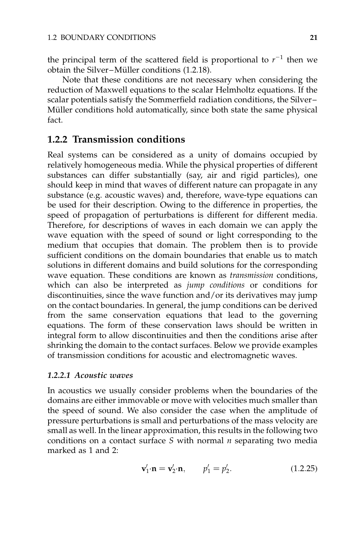the principal term of the scattered field is proportional to  $r^{-1}$  then we obtain the Silver–Müller conditions (1.2.18).

Note that these conditions are not necessary when considering the reduction of Maxwell equations to the scalar Helmholtz equations. If the scalar potentials satisfy the Sommerfield radiation conditions, the Silver– Müller conditions hold automatically, since both state the same physical fact.

## 1.2.2 Transmission conditions

Real systems can be considered as a unity of domains occupied by relatively homogeneous media. While the physical properties of different substances can differ substantially (say, air and rigid particles), one should keep in mind that waves of different nature can propagate in any substance (e.g. acoustic waves) and, therefore, wave-type equations can be used for their description. Owing to the difference in properties, the speed of propagation of perturbations is different for different media. Therefore, for descriptions of waves in each domain we can apply the wave equation with the speed of sound or light corresponding to the medium that occupies that domain. The problem then is to provide sufficient conditions on the domain boundaries that enable us to match solutions in different domains and build solutions for the corresponding wave equation. These conditions are known as transmission conditions, which can also be interpreted as jump conditions or conditions for discontinuities, since the wave function and/or its derivatives may jump on the contact boundaries. In general, the jump conditions can be derived from the same conservation equations that lead to the governing equations. The form of these conservation laws should be written in integral form to allow discontinuities and then the conditions arise after shrinking the domain to the contact surfaces. Below we provide examples of transmission conditions for acoustic and electromagnetic waves.

#### 1.2.2.1 Acoustic waves

In acoustics we usually consider problems when the boundaries of the domains are either immovable or move with velocities much smaller than the speed of sound. We also consider the case when the amplitude of pressure perturbations is small and perturbations of the mass velocity are small as well. In the linear approximation, this results in the following two conditions on a contact surface  $S$  with normal  $n$  separating two media marked as 1 and 2:

$$
\mathbf{v}'_1 \cdot \mathbf{n} = \mathbf{v}'_2 \cdot \mathbf{n}, \qquad p'_1 = p'_2. \tag{1.2.25}
$$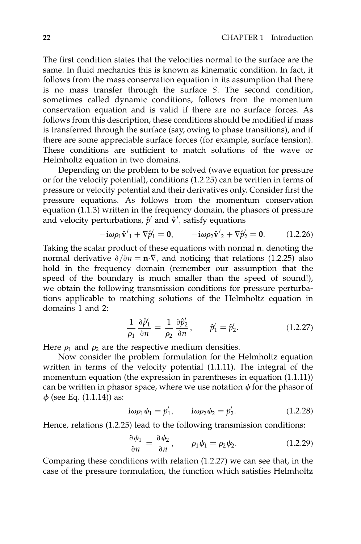The first condition states that the velocities normal to the surface are the same. In fluid mechanics this is known as kinematic condition. In fact, it follows from the mass conservation equation in its assumption that there is no mass transfer through the surface S. The second condition, sometimes called dynamic conditions, follows from the momentum conservation equation and is valid if there are no surface forces. As follows from this description, these conditions should be modified if mass is transferred through the surface (say, owing to phase transitions), and if there are some appreciable surface forces (for example, surface tension). These conditions are sufficient to match solutions of the wave or Helmholtz equation in two domains.

Depending on the problem to be solved (wave equation for pressure or for the velocity potential), conditions (1.2.25) can be written in terms of pressure or velocity potential and their derivatives only. Consider first the pressure equations. As follows from the momentum conservation equation (1.1.3) written in the frequency domain, the phasors of pressure and velocity perturbations,  $\hat{p}^{\prime}$  and  $\hat{\mathbf{v}}^{\prime}$ , satisfy equations

$$
-i\omega \rho_1 \hat{\mathbf{v}}'_1 + \nabla \hat{p}'_1 = \mathbf{0}, \qquad -i\omega \rho_2 \hat{\mathbf{v}}'_2 + \nabla \hat{p}'_2 = \mathbf{0}.
$$
 (1.2.26)

Taking the scalar product of these equations with normal n; denoting the normal derivative  $\partial/\partial n = \mathbf{n} \cdot \nabla$ , and noticing that relations (1.2.25) also hold in the frequency domain (remember our assumption that the speed of the boundary is much smaller than the speed of sound!), we obtain the following transmission conditions for pressure perturbations applicable to matching solutions of the Helmholtz equation in domains 1 and 2:

$$
\frac{1}{\rho_1} \frac{\partial \hat{p}_1'}{\partial n} = \frac{1}{\rho_2} \frac{\partial \hat{p}_2'}{\partial n}, \qquad \hat{p}_1' = \hat{p}_2'. \tag{1.2.27}
$$

Here  $\rho_1$  and  $\rho_2$  are the respective medium densities.

Now consider the problem formulation for the Helmholtz equation written in terms of the velocity potential (1.1.11). The integral of the momentum equation (the expression in parentheses in equation  $(1.1.11)$ ) can be written in phasor space, where we use notation  $\psi$  for the phasor of  $\phi$  (see Eq. (1.1.14)) as:

$$
i\omega \rho_1 \psi_1 = p'_1
$$
,  $i\omega \rho_2 \psi_2 = p'_2$ . (1.2.28)

Hence, relations (1.2.25) lead to the following transmission conditions:

$$
\frac{\partial \psi_1}{\partial n} = \frac{\partial \psi_2}{\partial n}, \qquad \rho_1 \psi_1 = \rho_2 \psi_2. \tag{1.2.29}
$$

Comparing these conditions with relation (1.2.27) we can see that, in the case of the pressure formulation, the function which satisfies Helmholtz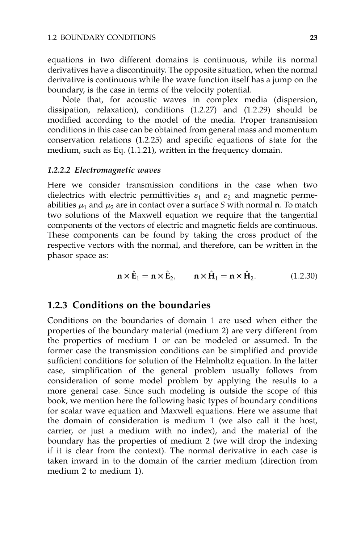equations in two different domains is continuous, while its normal derivatives have a discontinuity. The opposite situation, when the normal derivative is continuous while the wave function itself has a jump on the boundary, is the case in terms of the velocity potential.

Note that, for acoustic waves in complex media (dispersion, dissipation, relaxation), conditions (1.2.27) and (1.2.29) should be modified according to the model of the media. Proper transmission conditions in this case can be obtained from general mass and momentum conservation relations (1.2.25) and specific equations of state for the medium, such as Eq. (1.1.21), written in the frequency domain.

#### 1.2.2.2 Electromagnetic waves

Here we consider transmission conditions in the case when two dielectrics with electric permittivities  $\varepsilon_1$  and  $\varepsilon_2$  and magnetic permeabilities  $\mu_1$  and  $\mu_2$  are in contact over a surface S with normal **n**. To match two solutions of the Maxwell equation we require that the tangential components of the vectors of electric and magnetic fields are continuous. These components can be found by taking the cross product of the respective vectors with the normal, and therefore, can be written in the phasor space as:

$$
\mathbf{n} \times \hat{\mathbf{E}}_1 = \mathbf{n} \times \hat{\mathbf{E}}_2, \qquad \mathbf{n} \times \hat{\mathbf{H}}_1 = \mathbf{n} \times \hat{\mathbf{H}}_2. \tag{1.2.30}
$$

## 1.2.3 Conditions on the boundaries

Conditions on the boundaries of domain 1 are used when either the properties of the boundary material (medium 2) are very different from the properties of medium 1 or can be modeled or assumed. In the former case the transmission conditions can be simplified and provide sufficient conditions for solution of the Helmholtz equation. In the latter case, simplification of the general problem usually follows from consideration of some model problem by applying the results to a more general case. Since such modeling is outside the scope of this book, we mention here the following basic types of boundary conditions for scalar wave equation and Maxwell equations. Here we assume that the domain of consideration is medium 1 (we also call it the host, carrier, or just a medium with no index), and the material of the boundary has the properties of medium 2 (we will drop the indexing if it is clear from the context). The normal derivative in each case is taken inward in to the domain of the carrier medium (direction from medium 2 to medium 1).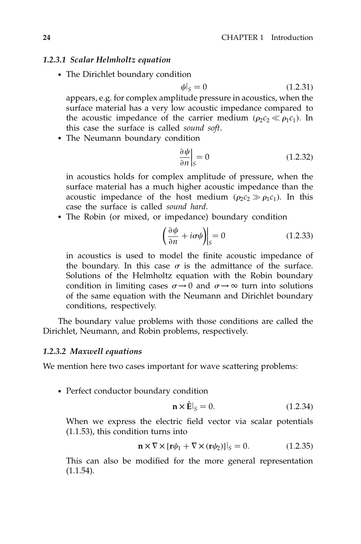#### 1.2.3.1 Scalar Helmholtz equation

• The Dirichlet boundary condition

$$
\psi|_{S} = 0 \tag{1.2.31}
$$

appears, e.g. for complex amplitude pressure in acoustics, when the surface material has a very low acoustic impedance compared to the acoustic impedance of the carrier medium  $(\rho_2 c_2 \ll \rho_1 c_1)$ . In this case the surface is called sound soft.

\* The Neumann boundary condition

$$
\left. \frac{\partial \psi}{\partial n} \right|_{S} = 0 \tag{1.2.32}
$$

in acoustics holds for complex amplitude of pressure, when the surface material has a much higher acoustic impedance than the acoustic impedance of the host medium  $(\rho_2 c_2 \gg \rho_1 c_1)$ . In this case the surface is called sound hard.

\* The Robin (or mixed, or impedance) boundary condition

$$
\left(\frac{\partial \psi}{\partial n} + i\sigma\psi\right)\Big|_{S} = 0\tag{1.2.33}
$$

in acoustics is used to model the finite acoustic impedance of the boundary. In this case  $\sigma$  is the admittance of the surface. Solutions of the Helmholtz equation with the Robin boundary condition in limiting cases  $\sigma \rightarrow 0$  and  $\sigma \rightarrow \infty$  turn into solutions of the same equation with the Neumann and Dirichlet boundary conditions, respectively.

The boundary value problems with those conditions are called the Dirichlet, Neumann, and Robin problems, respectively.

## 1.2.3.2 Maxwell equations

We mention here two cases important for wave scattering problems:

\* Perfect conductor boundary condition

$$
\mathbf{n} \times \hat{\mathbf{E}}|_{S} = 0. \tag{1.2.34}
$$

When we express the electric field vector via scalar potentials (1.1.53), this condition turns into

$$
\mathbf{n} \times \nabla \times [\mathbf{r}\psi_1 + \nabla \times (\mathbf{r}\psi_2)]|_S = 0. \tag{1.2.35}
$$

This can also be modified for the more general representation  $(1.1.54)$ .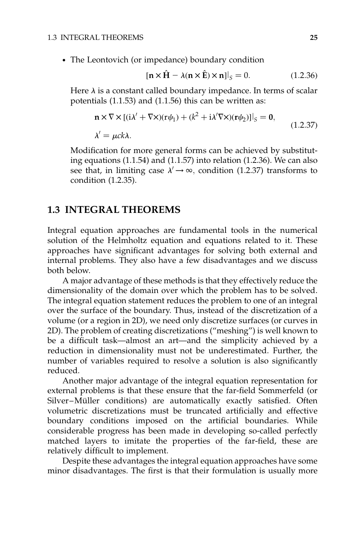• The Leontovich (or impedance) boundary condition

$$
[\mathbf{n} \times \hat{\mathbf{H}} - \lambda (\mathbf{n} \times \hat{\mathbf{E}}) \times \mathbf{n}]|_{S} = 0.
$$
 (1.2.36)

Here  $\lambda$  is a constant called boundary impedance. In terms of scalar potentials (1.1.53) and (1.1.56) this can be written as:

$$
\mathbf{n} \times \nabla \times [(\mathrm{i}\lambda' + \nabla \times)(\mathrm{r}\psi_1) + (k^2 + \mathrm{i}\lambda' \nabla \times)(\mathrm{r}\psi_2)]|_S = \mathbf{0},
$$
  
\n
$$
\lambda' = \mu c k \lambda.
$$
 (1.2.37)

Modification for more general forms can be achieved by substituting equations (1.1.54) and (1.1.57) into relation (1.2.36). We can also see that, in limiting case  $\lambda' \rightarrow \infty$ , condition (1.2.37) transforms to condition (1.2.35).

## 1.3 INTEGRAL THEOREMS

Integral equation approaches are fundamental tools in the numerical solution of the Helmholtz equation and equations related to it. These approaches have significant advantages for solving both external and internal problems. They also have a few disadvantages and we discuss both below.

A major advantage of these methods is that they effectively reduce the dimensionality of the domain over which the problem has to be solved. The integral equation statement reduces the problem to one of an integral over the surface of the boundary. Thus, instead of the discretization of a volume (or a region in 2D), we need only discretize surfaces (or curves in 2D). The problem of creating discretizations ("meshing") is well known to be a difficult task—almost an art—and the simplicity achieved by a reduction in dimensionality must not be underestimated. Further, the number of variables required to resolve a solution is also significantly reduced.

Another major advantage of the integral equation representation for external problems is that these ensure that the far-field Sommerfeld (or Silver-Müller conditions) are automatically exactly satisfied. Often volumetric discretizations must be truncated artificially and effective boundary conditions imposed on the artificial boundaries. While considerable progress has been made in developing so-called perfectly matched layers to imitate the properties of the far-field, these are relatively difficult to implement.

Despite these advantages the integral equation approaches have some minor disadvantages. The first is that their formulation is usually more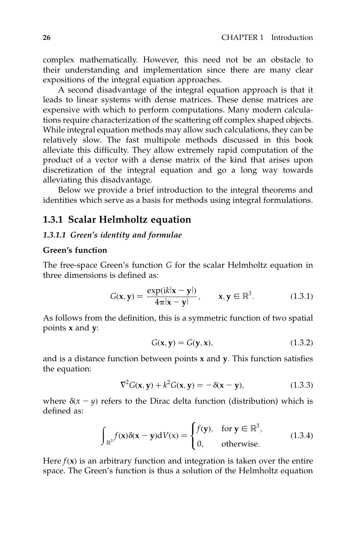complex mathematically. However, this need not be an obstacle to their understanding and implementation since there are many clear expositions of the integral equation approaches.

A second disadvantage of the integral equation approach is that it leads to linear systems with dense matrices. These dense matrices are expensive with which to perform computations. Many modern calculations require characterization of the scattering off complex shaped objects. While integral equation methods may allow such calculations, they can be relatively slow. The fast multipole methods discussed in this book alleviate this difficulty. They allow extremely rapid computation of the product of a vector with a dense matrix of the kind that arises upon discretization of the integral equation and go a long way towards alleviating this disadvantage.

Below we provide a brief introduction to the integral theorems and identities which serve as a basis for methods using integral formulations.

## 1.3.1 Scalar Helmholtz equation

## 1.3.1.1 Green's identity and formulae

## Green's function

The free-space Green's function G for the scalar Helmholtz equation in three dimensions is defined as:

$$
G(\mathbf{x}, \mathbf{y}) = \frac{\exp(ik|\mathbf{x} - \mathbf{y}|)}{4\pi|\mathbf{x} - \mathbf{y}|}, \qquad \mathbf{x}, \mathbf{y} \in \mathbb{R}^3.
$$
 (1.3.1)

As follows from the definition, this is a symmetric function of two spatial points x and y:

$$
G(\mathbf{x}, \mathbf{y}) = G(\mathbf{y}, \mathbf{x}),\tag{1.3.2}
$$

and is a distance function between points  $x$  and  $y$ . This function satisfies the equation:

$$
\nabla^2 G(\mathbf{x}, \mathbf{y}) + k^2 G(\mathbf{x}, \mathbf{y}) = -\delta(\mathbf{x} - \mathbf{y}), \tag{1.3.3}
$$

where  $\delta(x - y)$  refers to the Dirac delta function (distribution) which is defined as:

$$
\int_{\mathbb{R}^3} f(\mathbf{x}) \delta(\mathbf{x} - \mathbf{y}) dV(\mathbf{x}) = \begin{cases} f(\mathbf{y}), & \text{for } \mathbf{y} \in \mathbb{R}^3, \\ 0, & \text{otherwise.} \end{cases}
$$
 (1.3.4)

Here  $f(x)$  is an arbitrary function and integration is taken over the entire space. The Green's function is thus a solution of the Helmholtz equation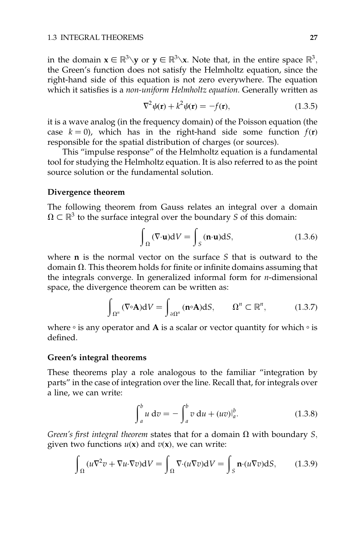in the domain  $\mathbf{x} \in \mathbb{R}^3 \setminus \mathbf{y}$  or  $\mathbf{y} \in \mathbb{R}^3 \setminus \mathbf{x}$ . Note that, in the entire space  $\mathbb{R}^3$ , the Green's function does not satisfy the Helmholtz equation, since the right-hand side of this equation is not zero everywhere. The equation which it satisfies is a non-uniform Helmholtz equation. Generally written as

$$
\nabla^2 \psi(\mathbf{r}) + k^2 \psi(\mathbf{r}) = -f(\mathbf{r}),\tag{1.3.5}
$$

it is a wave analog (in the frequency domain) of the Poisson equation (the case  $k = 0$ ), which has in the right-hand side some function  $f(\mathbf{r})$ responsible for the spatial distribution of charges (or sources).

This "impulse response" of the Helmholtz equation is a fundamental tool for studying the Helmholtz equation. It is also referred to as the point source solution or the fundamental solution.

#### Divergence theorem

The following theorem from Gauss relates an integral over a domain  $\Omega \subset \mathbb{R}^3$  to the surface integral over the boundary S of this domain:

$$
\int_{\Omega} (\nabla \cdot \mathbf{u}) dV = \int_{S} (\mathbf{n} \cdot \mathbf{u}) dS, \qquad (1.3.6)
$$

where  $\bf{n}$  is the normal vector on the surface S that is outward to the domain  $\Omega$ . This theorem holds for finite or infinite domains assuming that the integrals converge. In generalized informal form for  $n$ -dimensional space, the divergence theorem can be written as:

$$
\int_{\Omega^n} (\nabla \circ \mathbf{A}) dV = \int_{\partial \Omega^n} (\mathbf{n} \circ \mathbf{A}) dS, \qquad \Omega^n \subset \mathbb{R}^n, \tag{1.3.7}
$$

where  $\circ$  is any operator and **A** is a scalar or vector quantity for which  $\circ$  is defined.

#### Green's integral theorems

These theorems play a role analogous to the familiar "integration by parts" in the case of integration over the line. Recall that, for integrals over a line, we can write:

$$
\int_{a}^{b} u \, dv = -\int_{a}^{b} v \, du + (uv)|_{a}^{b}.
$$
 (1.3.8)

Green's first integral theorem states that for a domain  $\Omega$  with boundary S, given two functions  $u(\mathbf{x})$  and  $v(\mathbf{x})$ , we can write:

$$
\int_{\Omega} (u\nabla^2 v + \nabla u \cdot \nabla v) dV = \int_{\Omega} \nabla \cdot (u\nabla v) dV = \int_{S} \mathbf{n} \cdot (u\nabla v) dS, \qquad (1.3.9)
$$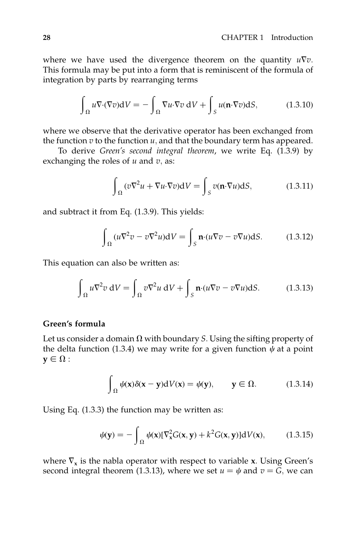where we have used the divergence theorem on the quantity  $u\nabla v$ . This formula may be put into a form that is reminiscent of the formula of integration by parts by rearranging terms

$$
\int_{\Omega} u \nabla \cdot (\nabla v) dV = -\int_{\Omega} \nabla u \cdot \nabla v dV + \int_{S} u(\mathbf{n} \cdot \nabla v) dS, \qquad (1.3.10)
$$

where we observe that the derivative operator has been exchanged from the function  $v$  to the function  $u$ , and that the boundary term has appeared.

To derive Green's second integral theorem, we write Eq. (1.3.9) by exchanging the roles of  $u$  and  $v$ , as:

$$
\int_{\Omega} (v\nabla^2 u + \nabla u \cdot \nabla v) dV = \int_{S} v(\mathbf{n} \cdot \nabla u) dS, \qquad (1.3.11)
$$

and subtract it from Eq. (1.3.9). This yields:

$$
\int_{\Omega} (u\nabla^2 v - v\nabla^2 u) dV = \int_{S} \mathbf{n} \cdot (u\nabla v - v\nabla u) dS.
$$
 (1.3.12)

This equation can also be written as:

$$
\int_{\Omega} u \nabla^2 v \, dV = \int_{\Omega} v \nabla^2 u \, dV + \int_{S} \mathbf{n} \cdot (u \nabla v - v \nabla u) dS.
$$
 (1.3.13)

## Green's formula

Let us consider a domain  $\Omega$  with boundary S. Using the sifting property of the delta function (1.3.4) we may write for a given function  $\psi$  at a point  $y \in \Omega$ :

$$
\int_{\Omega} \psi(x)\delta(x-y)dV(x) = \psi(y), \qquad y \in \Omega.
$$
 (1.3.14)

Using Eq. (1.3.3) the function may be written as:

$$
\psi(\mathbf{y}) = -\int_{\Omega} \psi(\mathbf{x}) [\nabla_{\mathbf{x}}^2 G(\mathbf{x}, \mathbf{y}) + k^2 G(\mathbf{x}, \mathbf{y})] dV(\mathbf{x}), \quad (1.3.15)
$$

where  $\nabla_x$  is the nabla operator with respect to variable x. Using Green's second integral theorem (1.3.13), where we set  $u = \psi$  and  $v = G$ , we can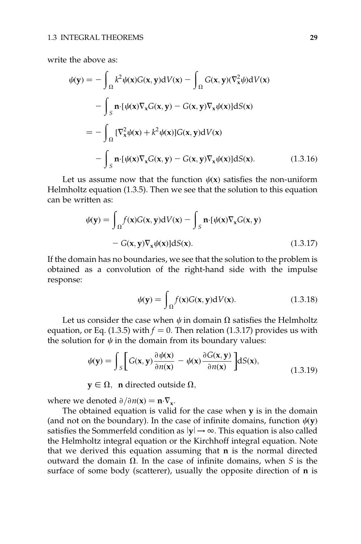write the above as:

$$
\psi(\mathbf{y}) = -\int_{\Omega} k^2 \psi(\mathbf{x}) G(\mathbf{x}, \mathbf{y}) dV(\mathbf{x}) - \int_{\Omega} G(\mathbf{x}, \mathbf{y}) (\nabla_{\mathbf{x}}^2 \psi) dV(\mathbf{x})
$$

$$
- \int_{S} \mathbf{n} \cdot [\psi(\mathbf{x}) \nabla_{\mathbf{x}} G(\mathbf{x}, \mathbf{y}) - G(\mathbf{x}, \mathbf{y}) \nabla_{\mathbf{x}} \psi(\mathbf{x})] dS(\mathbf{x})
$$

$$
= -\int_{\Omega} [\nabla_{\mathbf{x}}^2 \psi(\mathbf{x}) + k^2 \psi(\mathbf{x})] G(\mathbf{x}, \mathbf{y}) dV(\mathbf{x})
$$

$$
- \int_{S} \mathbf{n} \cdot [\psi(\mathbf{x}) \nabla_{\mathbf{x}} G(\mathbf{x}, \mathbf{y}) - G(\mathbf{x}, \mathbf{y}) \nabla_{\mathbf{x}} \psi(\mathbf{x})] dS(\mathbf{x}). \tag{1.3.16}
$$

Let us assume now that the function  $\psi(x)$  satisfies the non-uniform Helmholtz equation (1.3.5). Then we see that the solution to this equation can be written as:

$$
\psi(\mathbf{y}) = \int_{\Omega} f(\mathbf{x}) G(\mathbf{x}, \mathbf{y}) dV(\mathbf{x}) - \int_{S} \mathbf{n} \cdot [\psi(\mathbf{x}) \nabla_{\mathbf{x}} G(\mathbf{x}, \mathbf{y}) - G(\mathbf{x}, \mathbf{y}) \nabla_{\mathbf{x}} \psi(\mathbf{x})] dS(\mathbf{x}).
$$
\n(1.3.17)

If the domain has no boundaries, we see that the solution to the problem is obtained as a convolution of the right-hand side with the impulse response:

$$
\psi(\mathbf{y}) = \int_{\Omega} f(\mathbf{x}) G(\mathbf{x}, \mathbf{y}) \mathrm{d}V(\mathbf{x}). \tag{1.3.18}
$$

Let us consider the case when  $\psi$  in domain  $\Omega$  satisfies the Helmholtz equation, or Eq. (1.3.5) with  $f = 0$ . Then relation (1.3.17) provides us with the solution for  $\psi$  in the domain from its boundary values:

$$
\psi(\mathbf{y}) = \int_{S} \left[ G(\mathbf{x}, \mathbf{y}) \frac{\partial \psi(\mathbf{x})}{\partial n(\mathbf{x})} - \psi(\mathbf{x}) \frac{\partial G(\mathbf{x}, \mathbf{y})}{\partial n(\mathbf{x})} \right] dS(\mathbf{x}), \tag{1.3.19}
$$

 $y \in \Omega$ , n directed outside  $\Omega$ ,

where we denoted  $\partial/\partial n(\mathbf{x}) = \mathbf{n} \cdot \nabla_{\mathbf{x}}$ .

The obtained equation is valid for the case when  $y$  is in the domain (and not on the boundary). In the case of infinite domains, function  $\psi(\mathbf{y})$ satisfies the Sommerfeld condition as  $|y| \rightarrow \infty$ . This equation is also called the Helmholtz integral equation or the Kirchhoff integral equation. Note that we derived this equation assuming that n is the normal directed outward the domain  $\Omega$ . In the case of infinite domains, when S is the surface of some body (scatterer), usually the opposite direction of  $n$  is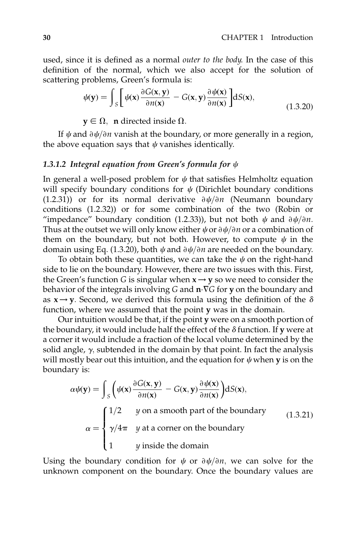used, since it is defined as a normal *outer to the body*. In the case of this definition of the normal, which we also accept for the solution of scattering problems, Green's formula is:

$$
\psi(\mathbf{y}) = \int_{S} \left[ \psi(\mathbf{x}) \frac{\partial G(\mathbf{x}, \mathbf{y})}{\partial n(\mathbf{x})} - G(\mathbf{x}, \mathbf{y}) \frac{\partial \psi(\mathbf{x})}{\partial n(\mathbf{x})} \right] dS(\mathbf{x}), \tag{1.3.20}
$$

 $y \in \Omega$ , n directed inside  $\Omega$ .

If  $\psi$  and  $\partial \psi / \partial n$  vanish at the boundary, or more generally in a region, the above equation says that  $\psi$  vanishes identically.

## 1.3.1.2 Integral equation from Green's formula for  $\psi$

In general a well-posed problem for  $\psi$  that satisfies Helmholtz equation will specify boundary conditions for  $\psi$  (Dirichlet boundary conditions (1.2.31)) or for its normal derivative  $\partial \psi / \partial n$  (Neumann boundary conditions (1.2.32)) or for some combination of the two (Robin or "impedance" boundary condition (1.2.33)), but not both  $\psi$  and  $\partial \psi / \partial n$ . Thus at the outset we will only know either  $\psi$  or  $\frac{\partial \psi}{\partial n}$  or a combination of them on the boundary, but not both. However, to compute  $\psi$  in the domain using Eq. (1.3.20), both  $\psi$  and  $\partial \psi / \partial n$  are needed on the boundary.

To obtain both these quantities, we can take the  $\psi$  on the right-hand side to lie on the boundary. However, there are two issues with this. First, the Green's function G is singular when  $x \rightarrow y$  so we need to consider the behavior of the integrals involving  $G$  and  $\mathbf{n} \cdot \nabla G$  for y on the boundary and as  $x \rightarrow y$ . Second, we derived this formula using the definition of the  $\delta$ function, where we assumed that the point y was in the domain.

Our intuition would be that, if the point y were on a smooth portion of the boundary, it would include half the effect of the  $\delta$  function. If y were at a corner it would include a fraction of the local volume determined by the solid angle,  $\gamma$ , subtended in the domain by that point. In fact the analysis will mostly bear out this intuition, and the equation for  $\psi$  when y is on the boundary is:

$$
\alpha \psi(\mathbf{y}) = \int_{S} \left( \psi(\mathbf{x}) \frac{\partial G(\mathbf{x}, \mathbf{y})}{\partial n(\mathbf{x})} - G(\mathbf{x}, \mathbf{y}) \frac{\partial \psi(\mathbf{x})}{\partial n(\mathbf{x})} \right) dS(\mathbf{x}),
$$
  
\n
$$
\alpha = \begin{cases}\n1/2 & y \text{ on a smooth part of the boundary} \\
\gamma/4\pi & y \text{ at a corner on the boundary} \\
1 & y \text{ inside the domain}\n\end{cases}
$$
\n(1.3.21)

Using the boundary condition for  $\psi$  or  $\partial \psi / \partial n$ , we can solve for the unknown component on the boundary. Once the boundary values are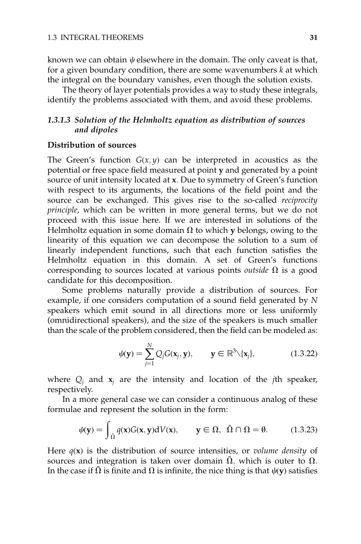known we can obtain  $\psi$  elsewhere in the domain. The only caveat is that, for a given boundary condition, there are some wavenumbers k at which the integral on the boundary vanishes, even though the solution exists.

The theory of layer potentials provides a way to study these integrals, identify the problems associated with them, and avoid these problems.

## 1.3.1.3 Solution of the Helmholtz equation as distribution of sources and dipoles

## Distribution of sources

The Green's function  $G(x, y)$  can be interpreted in acoustics as the potential or free space field measured at point y and generated by a point source of unit intensity located at x: Due to symmetry of Green's function with respect to its arguments, the locations of the field point and the source can be exchanged. This gives rise to the so-called reciprocity principle, which can be written in more general terms, but we do not proceed with this issue here. If we are interested in solutions of the Helmholtz equation in some domain  $\Omega$  to which y belongs, owing to the linearity of this equation we can decompose the solution to a sum of linearly independent functions, such that each function satisfies the Helmholtz equation in this domain. A set of Green's functions corresponding to sources located at various points *outside*  $\Omega$  is a good candidate for this decomposition.

Some problems naturally provide a distribution of sources. For example, if one considers computation of a sound field generated by N speakers which emit sound in all directions more or less uniformly (omnidirectional speakers), and the size of the speakers is much smaller than the scale of the problem considered, then the field can be modeled as:

$$
\psi(\mathbf{y}) = \sum_{j=1}^{N} Q_j G(\mathbf{x}_j, \mathbf{y}), \qquad \mathbf{y} \in \mathbb{R}^3 \setminus \{\mathbf{x}_j\},
$$
\n(1.3.22)

where  $Q_i$  and  $x_i$  are the intensity and location of the *j*th speaker, respectively.

In a more general case we can consider a continuous analog of these formulae and represent the solution in the form:

$$
\psi(\mathbf{y}) = \int_{\bar{\Omega}} q(\mathbf{x}) G(\mathbf{x}, \mathbf{y}) dV(\mathbf{x}), \qquad \mathbf{y} \in \Omega, \ \bar{\Omega} \cap \Omega = \emptyset. \tag{1.3.23}
$$

Here  $q(x)$  is the distribution of source intensities, or *volume density* of sources and integration is taken over domain  $\overline{\Omega}$ , which is outer to  $\Omega$ . In the case if  $\overline{\Omega}$  is finite and  $\Omega$  is infinite, the nice thing is that  $\psi(y)$  satisfies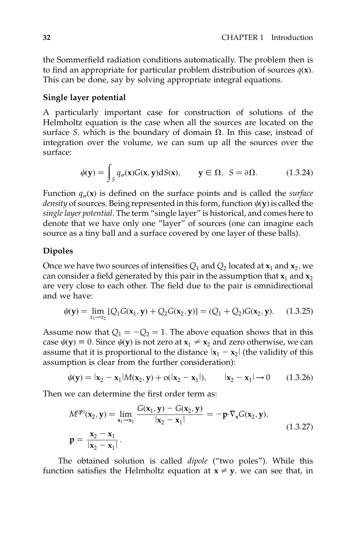the Sommerfield radiation conditions automatically. The problem then is to find an appropriate for particular problem distribution of sources  $q(x)$ . This can be done, say by solving appropriate integral equations.

#### Single layer potential

A particularly important case for construction of solutions of the Helmholtz equation is the case when all the sources are located on the surface S, which is the boundary of domain  $\Omega$ . In this case, instead of integration over the volume, we can sum up all the sources over the surface:

$$
\psi(\mathbf{y}) = \int_{S} q_{\sigma}(\mathbf{x}) G(\mathbf{x}, \mathbf{y}) \, dS(\mathbf{x}), \qquad \mathbf{y} \in \Omega, \ \ S = \partial \Omega. \tag{1.3.24}
$$

Function  $q_{\sigma}(\mathbf{x})$  is defined on the surface points and is called the surface *density* of sources. Being represented in this form, function  $\psi(\mathbf{y})$  is called the single layer potential. The term "single layer" is historical, and comes here to denote that we have only one "layer" of sources (one can imagine each source as a tiny ball and a surface covered by one layer of these balls).

## Dipoles

Once we have two sources of intensities  $Q_1$  and  $Q_2$  located at  $x_1$  and  $x_2$ , we can consider a field generated by this pair in the assumption that  $x_1$  and  $x_2$ are very close to each other. The field due to the pair is omnidirectional and we have:

$$
\psi(\mathbf{y}) = \lim_{x_1 \to x_2} [Q_1 G(\mathbf{x}_1, \mathbf{y}) + Q_2 G(\mathbf{x}_2, \mathbf{y})] = (Q_1 + Q_2) G(\mathbf{x}_2, \mathbf{y}). \quad (1.3.25)
$$

Assume now that  $Q_1 = -Q_2 = 1$ . The above equation shows that in this case  $\psi(y) \equiv 0$ . Since  $\psi(y)$  is not zero at  $x_1 \neq x_2$  and zero otherwise, we can assume that it is proportional to the distance  $|x_1 - x_2|$  (the validity of this assumption is clear from the further consideration):

$$
\psi(\mathbf{y}) = |\mathbf{x}_2 - \mathbf{x}_1| M(\mathbf{x}_2, \mathbf{y}) + o(|\mathbf{x}_2 - \mathbf{x}_1|), \qquad |\mathbf{x}_2 - \mathbf{x}_1| \to 0 \tag{1.3.26}
$$

Then we can determine the first order term as:

$$
M^{(p)}(x_2, y) = \lim_{x_1 \to x_2} \frac{G(x_1, y) - G(x_2, y)}{|x_2 - x_1|} = -p \cdot \nabla_x G(x_2, y),
$$
  
\n
$$
p = \frac{x_2 - x_1}{|x_2 - x_1|}.
$$
\n(1.3.27)

The obtained solution is called dipole ("two poles"). While this function satisfies the Helmholtz equation at  $x \neq y$ , we can see that, in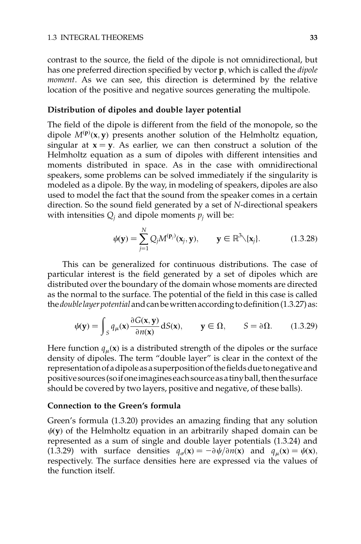contrast to the source, the field of the dipole is not omnidirectional, but has one preferred direction specified by vector  $p$ , which is called the *dipole* moment. As we can see, this direction is determined by the relative location of the positive and negative sources generating the multipole.

## Distribution of dipoles and double layer potential

The field of the dipole is different from the field of the monopole, so the dipole  $M^{(p)}(x, y)$  presents another solution of the Helmholtz equation, singular at  $x = y$ . As earlier, we can then construct a solution of the Helmholtz equation as a sum of dipoles with different intensities and moments distributed in space. As in the case with omnidirectional speakers, some problems can be solved immediately if the singularity is modeled as a dipole. By the way, in modeling of speakers, dipoles are also used to model the fact that the sound from the speaker comes in a certain direction. So the sound field generated by a set of N-directional speakers with intensities  $Q_i$  and dipole moments  $p_i$  will be:

$$
\psi(\mathbf{y}) = \sum_{j=1}^{N} Q_j M^{(\mathbf{p}_j)}(\mathbf{x}_j, \mathbf{y}), \qquad \mathbf{y} \in \mathbb{R}^3 \setminus {\mathbf{x}_j}.
$$
 (1.3.28)

This can be generalized for continuous distributions. The case of particular interest is the field generated by a set of dipoles which are distributed over the boundary of the domain whose moments are directed as the normal to the surface. The potential of the field in this case is called the *double layer potential* and can be written according to definition (1.3.27) as:

$$
\psi(\mathbf{y}) = \int_{S} q_{\mu}(\mathbf{x}) \frac{\partial G(\mathbf{x}, \mathbf{y})}{\partial n(\mathbf{x})} dS(\mathbf{x}), \qquad \mathbf{y} \in \Omega, \qquad S = \partial \Omega. \tag{1.3.29}
$$

Here function  $q_u(\mathbf{x})$  is a distributed strength of the dipoles or the surface density of dipoles. The term "double layer" is clear in the context of the representationofadipoleasasuperpositionofthefieldsduetonegativeand positive sources (so if one imagines each source as a tiny ball, then the surface should be covered by two layers, positive and negative, of these balls).

## Connection to the Green's formula

Green's formula (1.3.20) provides an amazing finding that any solution  $\psi(y)$  of the Helmholtz equation in an arbitrarily shaped domain can be represented as a sum of single and double layer potentials (1.3.24) and (1.3.29) with surface densities  $q_{\sigma}(\mathbf{x}) = -\partial \psi / \partial n(\mathbf{x})$  and  $q_{\mu}(\mathbf{x}) = \psi(\mathbf{x})$ , respectively. The surface densities here are expressed via the values of the function itself.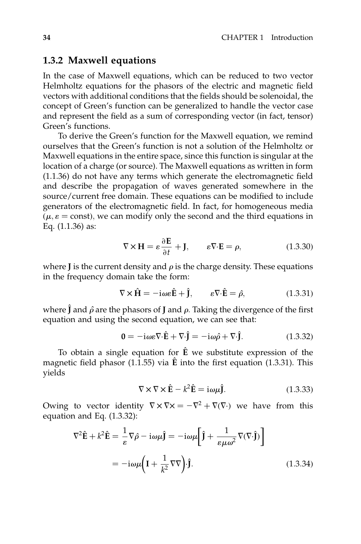## 1.3.2 Maxwell equations

In the case of Maxwell equations, which can be reduced to two vector Helmholtz equations for the phasors of the electric and magnetic field vectors with additional conditions that the fields should be solenoidal, the concept of Green's function can be generalized to handle the vector case and represent the field as a sum of corresponding vector (in fact, tensor) Green's functions.

To derive the Green's function for the Maxwell equation, we remind ourselves that the Green's function is not a solution of the Helmholtz or Maxwell equations in the entire space, since this function is singular at the location of a charge (or source). The Maxwell equations as written in form (1.1.36) do not have any terms which generate the electromagnetic field and describe the propagation of waves generated somewhere in the source/current free domain. These equations can be modified to include generators of the electromagnetic field. In fact, for homogeneous media  $(\mu, \varepsilon = \text{const})$ , we can modify only the second and the third equations in Eq. (1.1.36) as:

$$
\nabla \times \mathbf{H} = \varepsilon \frac{\partial \mathbf{E}}{\partial t} + \mathbf{J}, \qquad \varepsilon \nabla \cdot \mathbf{E} = \rho, \tag{1.3.30}
$$

where J is the current density and  $\rho$  is the charge density. These equations in the frequency domain take the form:

$$
\nabla \times \hat{H} = -i\omega \varepsilon \hat{E} + \hat{J}, \qquad \varepsilon \nabla \cdot \hat{E} = \hat{\rho}, \qquad (1.3.31)
$$

where  $\hat{\textbf{J}}$  and  $\hat{\rho}$  are the phasors of **J** and  $\rho$ . Taking the divergence of the first equation and using the second equation, we can see that:

$$
\mathbf{0} = -\mathrm{i}\omega\varepsilon\nabla\cdot\hat{\mathbf{E}} + \nabla\cdot\hat{\mathbf{J}} = -\mathrm{i}\omega\hat{\rho} + \nabla\cdot\hat{\mathbf{J}}.\tag{1.3.32}
$$

To obtain a single equation for  $\hat{E}$  we substitute expression of the magnetic field phasor (1.1.55) via  $\hat{E}$  into the first equation (1.3.31). This yields

$$
\nabla \times \nabla \times \hat{\mathbf{E}} - k^2 \hat{\mathbf{E}} = i\omega \mu \hat{\mathbf{J}}.
$$
 (1.3.33)

Owing to vector identity  $\nabla \times \nabla \times = -\nabla^2 + \nabla(\nabla \cdot)$  we have from this equation and Eq. (1.3.32):

$$
\nabla^2 \hat{\mathbf{E}} + k^2 \hat{\mathbf{E}} = \frac{1}{\varepsilon} \nabla \hat{\rho} - i\omega \mu \hat{\mathbf{j}} = -i\omega \mu \left[ \hat{\mathbf{j}} + \frac{1}{\varepsilon \mu \omega^2} \nabla (\nabla \cdot \hat{\mathbf{j}}) \right]
$$
  
=  $-i\omega \mu \left( \mathbf{I} + \frac{1}{k^2} \nabla \nabla \right) \cdot \hat{\mathbf{j}}.$  (1.3.34)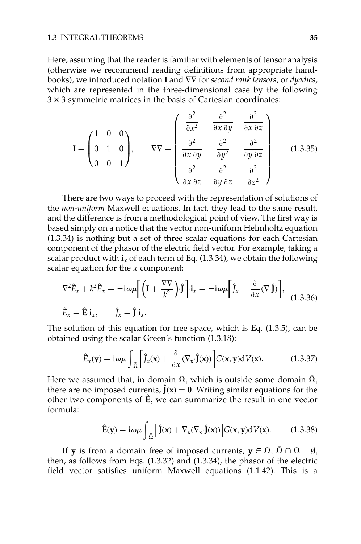Here, assuming that the reader is familiar with elements of tensor analysis (otherwise we recommend reading definitions from appropriate handbooks), we introduced notation I and  $\nabla \nabla$  for second rank tensors, or dyadics, which are represented in the three-dimensional case by the following  $3 \times 3$  symmetric matrices in the basis of Cartesian coordinates:

$$
\mathbf{I} = \begin{pmatrix} 1 & 0 & 0 \\ 0 & 1 & 0 \\ 0 & 0 & 1 \end{pmatrix}, \qquad \nabla \nabla = \begin{pmatrix} \frac{\partial^2}{\partial x^2} & \frac{\partial^2}{\partial x \partial y} & \frac{\partial^2}{\partial x \partial z} \\ \frac{\partial^2}{\partial x \partial y} & \frac{\partial^2}{\partial y^2} & \frac{\partial^2}{\partial y \partial z} \\ \frac{\partial^2}{\partial x \partial z} & \frac{\partial^2}{\partial y \partial z} & \frac{\partial^2}{\partial z^2} \end{pmatrix}.
$$
 (1.3.35)

There are two ways to proceed with the representation of solutions of the non-uniform Maxwell equations. In fact, they lead to the same result, and the difference is from a methodological point of view. The first way is based simply on a notice that the vector non-uniform Helmholtz equation (1.3.34) is nothing but a set of three scalar equations for each Cartesian component of the phasor of the electric field vector. For example, taking a scalar product with  $\mathbf{i}_x$  of each term of Eq. (1.3.34), we obtain the following scalar equation for the  $x$  component:

$$
\nabla^2 \hat{E}_x + k^2 \hat{E}_x = -i\omega \mu \left[ \left( \mathbf{I} + \frac{\nabla \nabla}{k^2} \right) \hat{\mathbf{j}} \right] \cdot \mathbf{i}_x = -i\omega \mu \left[ \hat{\mathbf{j}}_x + \frac{\partial}{\partial x} (\nabla \cdot \hat{\mathbf{j}}) \right],
$$
\n
$$
\hat{E}_x = \hat{\mathbf{E}} \cdot \mathbf{i}_x, \qquad \hat{\mathbf{j}}_x = \hat{\mathbf{j}} \cdot \mathbf{i}_x.
$$
\n(1.3.36)

The solution of this equation for free space, which is Eq. (1.3.5), can be obtained using the scalar Green's function (1.3.18):

$$
\hat{E}_x(\mathbf{y}) = i\omega\mu \int_{\Omega} \left[ \hat{J}_x(\mathbf{x}) + \frac{\partial}{\partial x} (\nabla_x \cdot \hat{\mathbf{J}}(\mathbf{x})) \right] G(\mathbf{x}, \mathbf{y}) dV(\mathbf{x}). \tag{1.3.37}
$$

Here we assumed that, in domain  $\Omega$ , which is outside some domain  $\overline{\Omega}$ , there are no imposed currents,  $\hat{\mathbf{j}}(\mathbf{x}) = \mathbf{0}$ . Writing similar equations for the other two components of  $\hat{E}$ , we can summarize the result in one vector formula:

$$
\hat{\mathbf{E}}(\mathbf{y}) = i\omega\mu \int_{\tilde{\Omega}} \left[ \hat{\mathbf{j}}(\mathbf{x}) + \nabla_{\mathbf{x}} (\nabla_{\mathbf{x}} \cdot \hat{\mathbf{j}}(\mathbf{x})) \right] G(\mathbf{x}, \mathbf{y}) dV(\mathbf{x}). \tag{1.3.38}
$$

If **y** is from a domain free of imposed currents,  $y \in \Omega$ ,  $\Omega \cap \Omega = \emptyset$ , then, as follows from Eqs. (1.3.32) and (1.3.34), the phasor of the electric field vector satisfies uniform Maxwell equations (1.1.42). This is a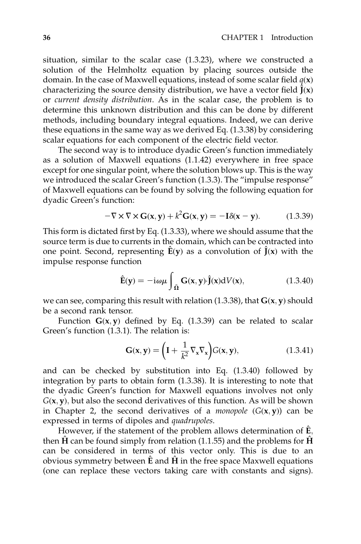situation, similar to the scalar case (1.3.23), where we constructed a solution of the Helmholtz equation by placing sources outside the domain. In the case of Maxwell equations, instead of some scalar field  $q(x)$ characterizing the source density distribution, we have a vector field  $\hat{\mathbf{j}}(\mathbf{x})$ or current density distribution. As in the scalar case, the problem is to determine this unknown distribution and this can be done by different methods, including boundary integral equations. Indeed, we can derive these equations in the same way as we derived Eq. (1.3.38) by considering scalar equations for each component of the electric field vector.

The second way is to introduce dyadic Green's function immediately as a solution of Maxwell equations (1.1.42) everywhere in free space except for one singular point, where the solution blows up. This is the way we introduced the scalar Green's function (1.3.3). The "impulse response" of Maxwell equations can be found by solving the following equation for dyadic Green's function:

$$
-\nabla \times \nabla \times \mathbf{G}(\mathbf{x}, \mathbf{y}) + k^2 \mathbf{G}(\mathbf{x}, \mathbf{y}) = -\mathbf{I}\delta(\mathbf{x} - \mathbf{y}). \tag{1.3.39}
$$

This form is dictated first by Eq. (1.3.33), where we should assume that the source term is due to currents in the domain, which can be contracted into one point. Second, representing  $\hat{\mathbf{E}}(\mathbf{y})$  as a convolution of  $\hat{\mathbf{J}}(\mathbf{x})$  with the impulse response function

$$
\hat{\mathbf{E}}(\mathbf{y}) = -i\omega\mu \int_{\Omega} \mathbf{G}(\mathbf{x}, \mathbf{y}) \cdot \hat{\mathbf{j}}(\mathbf{x}) dV(\mathbf{x}), \qquad (1.3.40)
$$

we can see, comparing this result with relation (1.3.38), that  $G(x, y)$  should be a second rank tensor.

Function  $G(x, y)$  defined by Eq. (1.3.39) can be related to scalar Green's function (1.3.1). The relation is:

$$
\mathbf{G}(\mathbf{x}, \mathbf{y}) = \left(\mathbf{I} + \frac{1}{k^2} \nabla_{\mathbf{x}} \nabla_{\mathbf{x}}\right) G(\mathbf{x}, \mathbf{y}),\tag{1.3.41}
$$

and can be checked by substitution into Eq. (1.3.40) followed by integration by parts to obtain form (1.3.38). It is interesting to note that the dyadic Green's function for Maxwell equations involves not only  $G(x, y)$ , but also the second derivatives of this function. As will be shown in Chapter 2, the second derivatives of a *monopole*  $(G(x, y))$  can be expressed in terms of dipoles and quadrupoles.

However, if the statement of the problem allows determination of  $\hat{E}$ , then  $\hat{H}$  can be found simply from relation (1.1.55) and the problems for  $\hat{H}$ can be considered in terms of this vector only. This is due to an obvious symmetry between  $\hat{E}$  and  $\hat{H}$  in the free space Maxwell equations (one can replace these vectors taking care with constants and signs).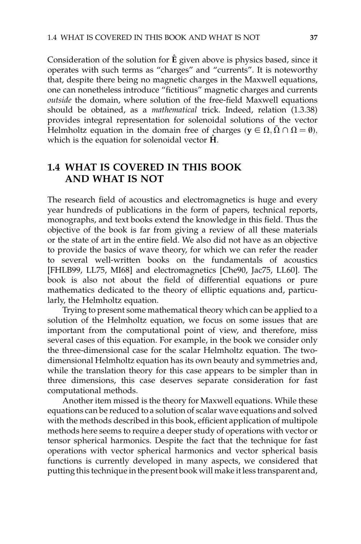Consideration of the solution for  $\hat{E}$  given above is physics based, since it operates with such terms as "charges" and "currents". It is noteworthy that, despite there being no magnetic charges in the Maxwell equations, one can nonetheless introduce "fictitious" magnetic charges and currents outside the domain, where solution of the free-field Maxwell equations should be obtained, as a *mathematical* trick. Indeed, relation (1.3.38) provides integral representation for solenoidal solutions of the vector Helmholtz equation in the domain free of charges ( $y \in \Omega$ ,  $\overline{\Omega} \cap \Omega = \emptyset$ ), which is the equation for solenoidal vector  $\hat{H}$ .

# 1.4 WHAT IS COVERED IN THIS BOOK AND WHAT IS NOT

The research field of acoustics and electromagnetics is huge and every year hundreds of publications in the form of papers, technical reports, monographs, and text books extend the knowledge in this field. Thus the objective of the book is far from giving a review of all these materials or the state of art in the entire field. We also did not have as an objective to provide the basics of wave theory, for which we can refer the reader to several well-written books on the fundamentals of acoustics [FHLB99, LL75, MI68] and electromagnetics [Che90, Jac75, LL60]. The book is also not about the field of differential equations or pure mathematics dedicated to the theory of elliptic equations and, particularly, the Helmholtz equation.

Trying to present some mathematical theory which can be applied to a solution of the Helmholtz equation, we focus on some issues that are important from the computational point of view, and therefore, miss several cases of this equation. For example, in the book we consider only the three-dimensional case for the scalar Helmholtz equation. The twodimensional Helmholtz equation has its own beauty and symmetries and, while the translation theory for this case appears to be simpler than in three dimensions, this case deserves separate consideration for fast computational methods.

Another item missed is the theory for Maxwell equations. While these equations can be reduced to a solution of scalar wave equations and solved with the methods described in this book, efficient application of multipole methods here seems to require a deeper study of operations with vector or tensor spherical harmonics. Despite the fact that the technique for fast operations with vector spherical harmonics and vector spherical basis functions is currently developed in many aspects, we considered that putting this technique in the present book will make it less transparent and,